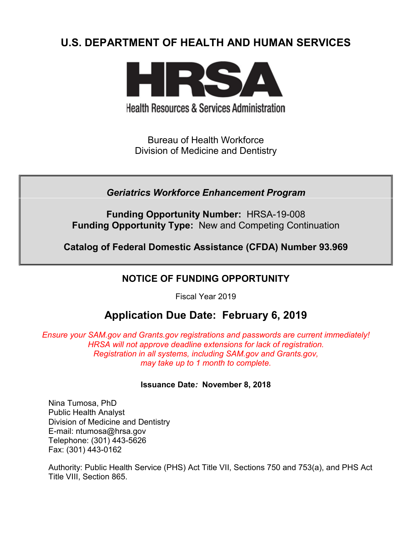# **U.S. DEPARTMENT OF HEALTH AND HUMAN SERVICES**



**Health Resources & Services Administration** 

Bureau of Health Workforce Division of Medicine and Dentistry

*Geriatrics Workforce Enhancement Program*

**Funding Opportunity Number:** HRSA-19-008 **Funding Opportunity Type:** New and Competing Continuation

**Catalog of Federal Domestic Assistance (CFDA) Number 93.969**

# **NOTICE OF FUNDING OPPORTUNITY**

Fiscal Year 2019

# **Application Due Date: February 6, 2019**

*Ensure your SAM.gov and Grants.gov registrations and passwords are current immediately! HRSA will not approve deadline extensions for lack of registration. Registration in all systems, including SAM.gov and Grants.gov, may take up to 1 month to complete.*

# **Issuance Date***:* **November 8, 2018**

Nina Tumosa, PhD Public Health Analyst Division of Medicine and Dentistry E-mail: ntumosa@hrsa.gov Telephone: (301) 443-5626 Fax: (301) 443-0162

Authority: Public Health Service (PHS) Act Title VII, Sections 750 and 753(a), and PHS Act Title VIII, Section 865.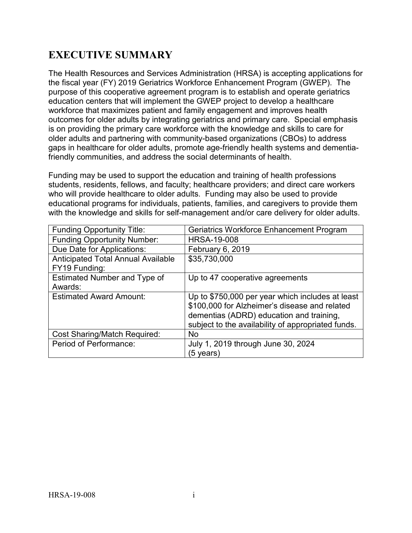# **EXECUTIVE SUMMARY**

The Health Resources and Services Administration (HRSA) is accepting applications for the fiscal year (FY) 2019 Geriatrics Workforce Enhancement Program (GWEP). The purpose of this cooperative agreement program is to establish and operate geriatrics education centers that will implement the GWEP project to develop a healthcare workforce that maximizes patient and family engagement and improves health outcomes for older adults by integrating geriatrics and primary care. Special emphasis is on providing the primary care workforce with the knowledge and skills to care for older adults and partnering with community-based organizations (CBOs) to address gaps in healthcare for older adults, promote age-friendly health systems and dementiafriendly communities, and address the social determinants of health.

Funding may be used to support the education and training of health professions students, residents, fellows, and faculty; healthcare providers; and direct care workers who will provide healthcare to older adults. Funding may also be used to provide educational programs for individuals, patients, families, and caregivers to provide them with the knowledge and skills for self-management and/or care delivery for older adults.

| <b>Funding Opportunity Title:</b>                          | <b>Geriatrics Workforce Enhancement Program</b>                                                                                                                                                     |
|------------------------------------------------------------|-----------------------------------------------------------------------------------------------------------------------------------------------------------------------------------------------------|
| <b>Funding Opportunity Number:</b>                         | <b>HRSA-19-008</b>                                                                                                                                                                                  |
| Due Date for Applications:                                 | February 6, 2019                                                                                                                                                                                    |
| <b>Anticipated Total Annual Available</b><br>FY19 Funding: | \$35,730,000                                                                                                                                                                                        |
| Estimated Number and Type of<br>Awards:                    | Up to 47 cooperative agreements                                                                                                                                                                     |
| <b>Estimated Award Amount:</b>                             | Up to \$750,000 per year which includes at least<br>\$100,000 for Alzheimer's disease and related<br>dementias (ADRD) education and training,<br>subject to the availability of appropriated funds. |
| <b>Cost Sharing/Match Required:</b>                        | <b>No</b>                                                                                                                                                                                           |
| Period of Performance:                                     | July 1, 2019 through June 30, 2024<br>(5 vears)                                                                                                                                                     |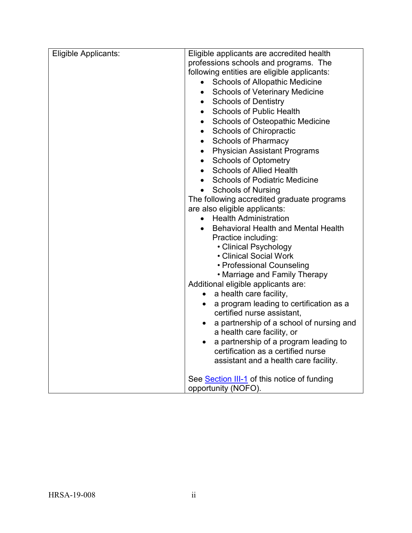| Eligible Applicants: | Eligible applicants are accredited health                  |
|----------------------|------------------------------------------------------------|
|                      | professions schools and programs. The                      |
|                      | following entities are eligible applicants:                |
|                      | <b>Schools of Allopathic Medicine</b>                      |
|                      | <b>Schools of Veterinary Medicine</b><br>$\bullet$         |
|                      | <b>Schools of Dentistry</b><br>$\bullet$                   |
|                      | <b>Schools of Public Health</b><br>$\bullet$               |
|                      | <b>Schools of Osteopathic Medicine</b><br>$\bullet$        |
|                      | <b>Schools of Chiropractic</b><br>$\bullet$                |
|                      | <b>Schools of Pharmacy</b><br>$\bullet$                    |
|                      | <b>Physician Assistant Programs</b><br>$\bullet$           |
|                      | <b>Schools of Optometry</b><br>$\bullet$                   |
|                      | <b>Schools of Allied Health</b><br>$\bullet$               |
|                      | <b>Schools of Podiatric Medicine</b><br>$\bullet$          |
|                      | <b>Schools of Nursing</b>                                  |
|                      | The following accredited graduate programs                 |
|                      | are also eligible applicants:                              |
|                      | <b>Health Administration</b>                               |
|                      | <b>Behavioral Health and Mental Health</b>                 |
|                      | Practice including:                                        |
|                      | • Clinical Psychology                                      |
|                      | • Clinical Social Work                                     |
|                      | • Professional Counseling<br>• Marriage and Family Therapy |
|                      | Additional eligible applicants are:                        |
|                      | a health care facility,<br>$\bullet$                       |
|                      | a program leading to certification as a<br>$\bullet$       |
|                      | certified nurse assistant,                                 |
|                      | a partnership of a school of nursing and<br>$\bullet$      |
|                      | a health care facility, or                                 |
|                      | a partnership of a program leading to<br>$\bullet$         |
|                      | certification as a certified nurse                         |
|                      | assistant and a health care facility.                      |
|                      | See Section III-1 of this notice of funding                |
|                      | opportunity (NOFO).                                        |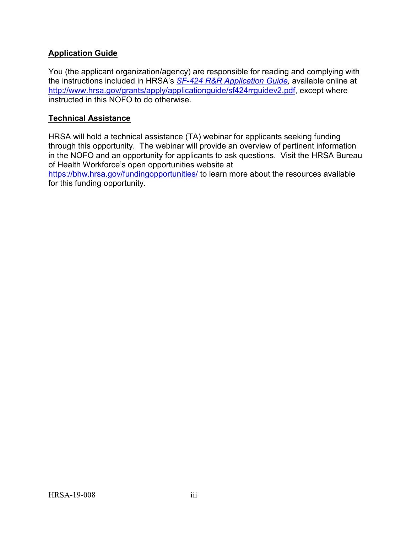# **Application Guide**

You (the applicant organization/agency) are responsible for reading and complying with the instructions included in HRSA's *SF-424 [R&R Application Guide,](http://www.hrsa.gov/grants/apply/applicationguide/sf424rrguidev2.pdf)* available online at [http://www.hrsa.gov/grants/apply/applicationguide/sf424rrguidev2.pdf,](http://www.hrsa.gov/grants/apply/applicationguide/sf424rrguidev2.pdf) except where instructed in this NOFO to do otherwise.

#### **Technical Assistance**

HRSA will hold a technical assistance (TA) webinar for applicants seeking funding through this opportunity. The webinar will provide an overview of pertinent information in the NOFO and an opportunity for applicants to ask questions. Visit the HRSA Bureau of Health Workforce's open opportunities website at

<https://bhw.hrsa.gov/fundingopportunities/> to learn more about the resources available for this funding opportunity.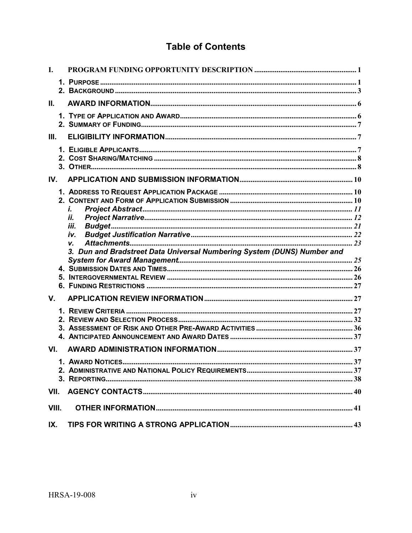# **Table of Contents**

| L           |                                                                         |  |
|-------------|-------------------------------------------------------------------------|--|
|             |                                                                         |  |
| II.         |                                                                         |  |
|             |                                                                         |  |
| Ш.          |                                                                         |  |
|             |                                                                         |  |
| IV.         |                                                                         |  |
|             | i.                                                                      |  |
|             | ii.<br>iii.                                                             |  |
|             | iv.                                                                     |  |
|             | V.                                                                      |  |
|             |                                                                         |  |
|             | 3. Dun and Bradstreet Data Universal Numbering System (DUNS) Number and |  |
|             |                                                                         |  |
|             |                                                                         |  |
|             |                                                                         |  |
| $V_{\cdot}$ |                                                                         |  |
|             |                                                                         |  |
|             |                                                                         |  |
|             |                                                                         |  |
|             |                                                                         |  |
| VI.         |                                                                         |  |
|             |                                                                         |  |
|             |                                                                         |  |
|             |                                                                         |  |
| VII.        |                                                                         |  |
| VIII.       |                                                                         |  |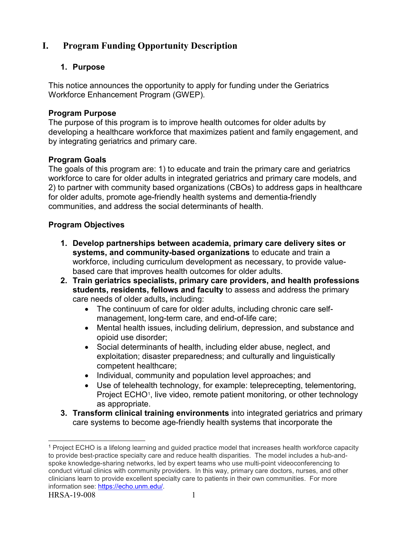# <span id="page-5-0"></span>**I. Program Funding Opportunity Description**

# <span id="page-5-1"></span>**1. Purpose**

This notice announces the opportunity to apply for funding under the Geriatrics Workforce Enhancement Program (GWEP).

# **Program Purpose**

The purpose of this program is to improve health outcomes for older adults by developing a healthcare workforce that maximizes patient and family engagement, and by integrating geriatrics and primary care.

# **Program Goals**

The goals of this program are: 1) to educate and train the primary care and geriatrics workforce to care for older adults in integrated geriatrics and primary care models, and 2) to partner with community based organizations (CBOs) to address gaps in healthcare for older adults, promote age-friendly health systems and dementia-friendly communities, and address the social determinants of health.

# **Program Objectives**

- **1. Develop partnerships between academia, primary care delivery sites or systems, and community-based organizations** to educate and train a workforce, including curriculum development as necessary, to provide valuebased care that improves health outcomes for older adults.
- **2. Train geriatrics specialists, primary care providers, and health professions students, residents, fellows and faculty** to assess and address the primary care needs of older adults**,** including:
	- The continuum of care for older adults, including chronic care selfmanagement, long-term care, and end-of-life care;
	- Mental health issues, including delirium, depression, and substance and opioid use disorder;
	- Social determinants of health, including elder abuse, neglect, and exploitation; disaster preparedness; and culturally and linguistically competent healthcare;
	- Individual, community and population level approaches; and
	- Use of telehealth technology, for example: teleprecepting, telementoring, Project ECHO<sup>[1](#page-5-2)</sup>, live video, remote patient monitoring, or other technology as appropriate.
- **3. Transform clinical training environments** into integrated geriatrics and primary care systems to become age-friendly health systems that incorporate the

 $\overline{a}$ 

<span id="page-5-2"></span><sup>1</sup> Project ECHO is a lifelong learning and guided practice model that increases health workforce capacity to provide best-practice specialty care and reduce health disparities. The model includes a hub-andspoke knowledge-sharing networks, led by expert teams who use multi-point videoconferencing to conduct virtual clinics with community providers. In this way, primary care doctors, nurses, and other clinicians learn to provide excellent specialty care to patients in their own communities. For more information see: [https://echo.unm.edu/.](https://echo.unm.edu/)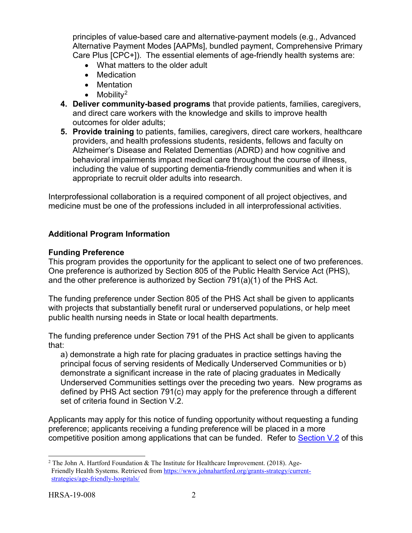principles of value-based care and alternative-payment models (e.g., Advanced Alternative Payment Modes [AAPMs], bundled payment, Comprehensive Primary Care Plus [CPC+]). The essential elements of age-friendly health systems are:

- What matters to the older adult
- Medication
- Mentation
- $\bullet$  Mobility<sup>[2](#page-6-0)</sup>
- **4. Deliver community-based programs** that provide patients, families, caregivers, and direct care workers with the knowledge and skills to improve health outcomes for older adults;
- **5. Provide training** to patients, families, caregivers, direct care workers, healthcare providers, and health professions students, residents, fellows and faculty on Alzheimer's Disease and Related Dementias (ADRD) and how cognitive and behavioral impairments impact medical care throughout the course of illness, including the value of supporting dementia-friendly communities and when it is appropriate to recruit older adults into research.

Interprofessional collaboration is a required component of all project objectives, and medicine must be one of the professions included in all interprofessional activities.

# **Additional Program Information**

# **Funding Preference**

This program provides the opportunity for the applicant to select one of two preferences. One preference is authorized by Section 805 of the Public Health Service Act (PHS), and the other preference is authorized by Section 791(a)(1) of the PHS Act.

The funding preference under Section 805 of the PHS Act shall be given to applicants with projects that substantially benefit rural or underserved populations, or help meet public health nursing needs in State or local health departments.

The funding preference under Section 791 of the PHS Act shall be given to applicants that:

a) demonstrate a high rate for placing graduates in practice settings having the principal focus of serving residents of Medically Underserved Communities or b) demonstrate a significant increase in the rate of placing graduates in Medically Underserved Communities settings over the preceding two years. New programs as defined by PHS Act section 791(c) may apply for the preference through a different set of criteria found in Section V.2.

Applicants may apply for this notice of funding opportunity without requesting a funding preference; applicants receiving a funding preference will be placed in a more competitive position among applications that can be funded. Refer to [Section V.2](#page-36-1) of this

<span id="page-6-0"></span><sup>&</sup>lt;sup>2</sup> The John A. Hartford Foundation & The Institute for Healthcare Improvement. (2018). Age-Friendly Health Systems. Retrieved fro[m https://www.johnahartford.org/grants-strategy/current](https://www.johnahartford.org/grants-strategy/current-strategies/age-friendly-hospitals/)[strategies/age-friendly-hospitals/](https://www.johnahartford.org/grants-strategy/current-strategies/age-friendly-hospitals/)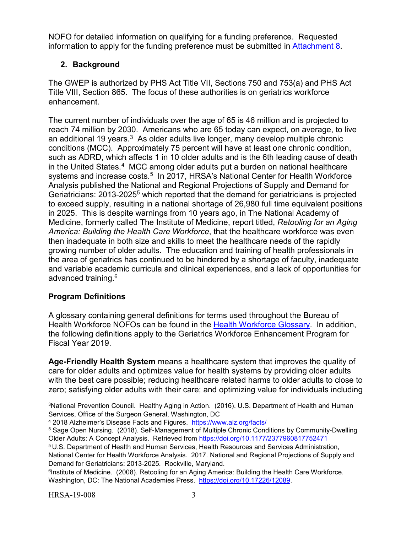NOFO for detailed information on qualifying for a funding preference. Requested information to apply for the funding preference must be submitted in [Attachment 8.](#page-27-0)

# <span id="page-7-0"></span>**2. Background**

The GWEP is authorized by PHS Act Title VII, Sections 750 and 753(a) and PHS Act Title VIII, Section 865. The focus of these authorities is on geriatrics workforce enhancement.

The current number of individuals over the age of 65 is 46 million and is projected to reach 74 million by 2030. Americans who are 65 today can expect, on average, to live an additional 19 years.[3](#page-7-1)As older adults live longer, many develop multiple chronic conditions (MCC). Approximately 75 percent will have at least one chronic condition, such as ADRD, which affects 1 in 10 older adults and is the 6th leading cause of death in the United States.<sup>[4](#page-7-2)</sup> MCC among older adults put a burden on national healthcare systems and increase costs.<sup>[5](#page-7-3)</sup> In 2017, HRSA's National Center for Health Workforce Analysis published the National and Regional Projections of Supply and Demand for Geriatricians: 2013-20255 which reported that the demand for geriatricians is projected to exceed supply, resulting in a national shortage of 26,980 full time equivalent positions in 2025. This is despite warnings from 10 years ago, in The National Academy of Medicine, formerly called The Institute of Medicine, report titled, *Retooling for an Aging America: Building the Health Care Workforce*, that the healthcare workforce was even then inadequate in both size and skills to meet the healthcare needs of the rapidly growing number of older adults. The education and training of health professionals in the area of geriatrics has continued to be hindered by a shortage of faculty, inadequate and variable academic curricula and clinical experiences, and a lack of opportunities for advanced training.6

# **Program Definitions**

A glossary containing general definitions for terms used throughout the Bureau of Health Workforce NOFOs can be found in the [Health Workforce Glossary.](https://bhw.hrsa.gov/grants/resourcecenter/glossary) In addition, the following definitions apply to the Geriatrics Workforce Enhancement Program for Fiscal Year 2019.

**Age-Friendly Health System** means a healthcare system that improves the quality of care for older adults and optimizes value for health systems by providing older adults with the best care possible; reducing healthcare related harms to older adults to close to zero; satisfying older adults with their care; and optimizing value for individuals including<br>————————————————————<br><sup>3</sup>National Prevention Council. Healthy Aging in Action. (2016). U.S. Department of Health and Human

5 U.S. Department of Health and Human Services, Health Resources and Services Administration,

<span id="page-7-1"></span>Services, Office of the Surgeon General, Washington, DC

<span id="page-7-3"></span><span id="page-7-2"></span><sup>&</sup>lt;sup>4</sup> 2018 Alzheimer's Disease Facts and Figures. https://www.alz.org/facts/<br><sup>5</sup> Sage Open Nursing. (2018). Self-Management of Multiple Chronic Conditions by Community-Dwelling Older Adults: A Concept Analysis. Retrieved from<https://doi.org/10.1177/2377960817752471>

National Center for Health Workforce Analysis. 2017. National and Regional Projections of Supply and Demand for Geriatricians: 2013-2025. Rockville, Maryland.

<sup>6</sup>Institute of Medicine. (2008). Retooling for an Aging America: Building the Health Care Workforce. Washington, DC: The National Academies Press. [https://doi.org/10.17226/12089.](https://doi.org/10.17226/12089)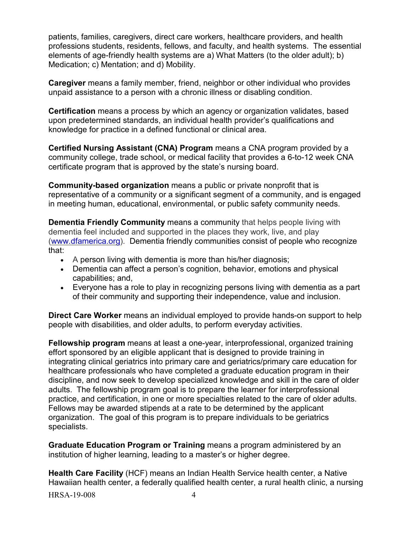patients, families, caregivers, direct care workers, healthcare providers, and health professions students, residents, fellows, and faculty, and health systems. The essential elements of age-friendly health systems are a) What Matters (to the older adult); b) Medication; c) Mentation; and d) Mobility.

**Caregiver** means a family member, friend, neighbor or other individual who provides unpaid assistance to a person with a chronic illness or disabling condition.

**Certification** means a process by which an agency or organization validates, based upon predetermined standards, an individual health provider's qualifications and knowledge for practice in a defined functional or clinical area.

**Certified Nursing Assistant (CNA) Program** means a CNA program provided by a community college, trade school, or medical facility that provides a 6-to-12 week CNA certificate program that is approved by the state's nursing board.

**Community-based organization** means a public or private nonprofit that is representative of a community or a significant segment of a community, and is engaged in meeting human, educational, environmental, or public safety community needs.

**Dementia Friendly Community** means a community that helps people living with dementia feel included and supported in the places they work, live, and play [\(www.dfamerica.org\)](http://www.dfamerica.org/). Dementia friendly communities consist of people who recognize that:

- A person living with dementia is more than his/her diagnosis;
- Dementia can affect a person's cognition, behavior, emotions and physical capabilities; and,
- Everyone has a role to play in recognizing persons living with dementia as a part of their community and supporting their independence, value and inclusion.

**Direct Care Worker** means an individual employed to provide hands-on support to help people with disabilities, and older adults, to perform everyday activities.

**Fellowship program** means at least a one-year, interprofessional, organized training effort sponsored by an eligible applicant that is designed to provide training in integrating clinical geriatrics into primary care and geriatrics/primary care education for healthcare professionals who have completed a graduate education program in their discipline, and now seek to develop specialized knowledge and skill in the care of older adults. The fellowship program goal is to prepare the learner for interprofessional practice, and certification, in one or more specialties related to the care of older adults. Fellows may be awarded stipends at a rate to be determined by the applicant organization. The goal of this program is to prepare individuals to be geriatrics specialists.

**Graduate Education Program or Training** means a program administered by an institution of higher learning, leading to a master's or higher degree.

**Health Care Facility** (HCF) means an Indian Health Service health center, a Native Hawaiian health center, a federally qualified health center, a rural health clinic, a nursing

HRSA-19-008 4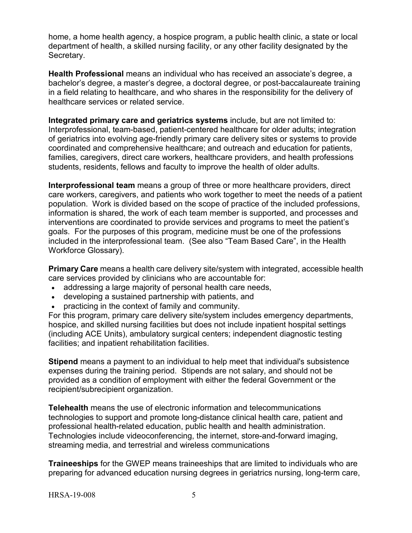home, a home health agency, a hospice program, a public health clinic, a state or local department of health, a skilled nursing facility, or any other facility designated by the Secretary.

**Health Professional** means an individual who has received an associate's degree, a bachelor's degree, a master's degree, a doctoral degree, or post-baccalaureate training in a field relating to healthcare, and who shares in the responsibility for the delivery of healthcare services or related service.

**Integrated primary care and geriatrics systems** include, but are not limited to: Interprofessional, team-based, patient-centered healthcare for older adults; integration of geriatrics into evolving age-friendly primary care delivery sites or systems to provide coordinated and comprehensive healthcare; and outreach and education for patients, families, caregivers, direct care workers, healthcare providers, and health professions students, residents, fellows and faculty to improve the health of older adults.

**Interprofessional team** means a group of three or more healthcare providers, direct care workers, caregivers, and patients who work together to meet the needs of a patient population. Work is divided based on the scope of practice of the included professions, information is shared, the work of each team member is supported, and processes and interventions are coordinated to provide services and programs to meet the patient's goals. For the purposes of this program, medicine must be one of the professions included in the interprofessional team. (See also "Team Based Care", in the Health Workforce Glossary).

**Primary Care** means a health care delivery site/system with integrated, accessible health care services provided by clinicians who are accountable for:

- addressing a large majority of personal health care needs,
- developing a sustained partnership with patients, and
- practicing in the context of family and community.

For this program, primary care delivery site/system includes emergency departments, hospice, and skilled nursing facilities but does not include inpatient hospital settings (including ACE Units), ambulatory surgical centers; independent diagnostic testing facilities; and inpatient rehabilitation facilities.

**Stipend** means a payment to an individual to help meet that individual's subsistence expenses during the training period. Stipends are not salary, and should not be provided as a condition of employment with either the federal Government or the recipient/subrecipient organization.

**Telehealth** means the use of electronic information and telecommunications technologies to support and promote long-distance clinical health care, patient and professional health-related education, public health and health administration. Technologies include videoconferencing, the internet, store-and-forward imaging, streaming media, and terrestrial and wireless communications

**Traineeships** for the GWEP means traineeships that are limited to individuals who are preparing for advanced education nursing degrees in geriatrics nursing, long-term care,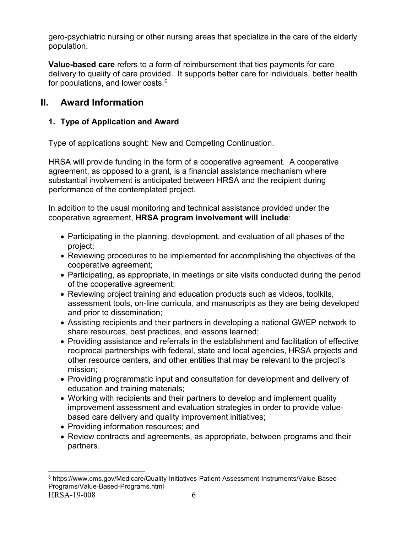gero-psychiatric nursing or other nursing areas that specialize in the care of the elderly population.

**Value-based care** refers to a form of reimbursement that ties payments for care delivery to quality of care provided. It supports better care for individuals, better health for populations, and lower costs. $^6$  $^6$ 

# <span id="page-10-0"></span>**II. Award Information**

# <span id="page-10-1"></span>**1. Type of Application and Award**

Type of applications sought: New and Competing Continuation.

HRSA will provide funding in the form of a cooperative agreement. A cooperative agreement, as opposed to a grant, is a financial assistance mechanism where substantial involvement is anticipated between HRSA and the recipient during performance of the contemplated project.

In addition to the usual monitoring and technical assistance provided under the cooperative agreement, **HRSA program involvement will include**:

- Participating in the planning, development, and evaluation of all phases of the project;
- Reviewing procedures to be implemented for accomplishing the objectives of the cooperative agreement;
- Participating, as appropriate, in meetings or site visits conducted during the period of the cooperative agreement;
- Reviewing project training and education products such as videos, toolkits, assessment tools, on-line curricula, and manuscripts as they are being developed and prior to dissemination;
- Assisting recipients and their partners in developing a national GWEP network to share resources, best practices, and lessons learned;
- Providing assistance and referrals in the establishment and facilitation of effective reciprocal partnerships with federal, state and local agencies, HRSA projects and other resource centers, and other entities that may be relevant to the project's mission;
- Providing programmatic input and consultation for development and delivery of education and training materials;
- Working with recipients and their partners to develop and implement quality improvement assessment and evaluation strategies in order to provide valuebased care delivery and quality improvement initiatives;
- Providing information resources; and
- Review contracts and agreements, as appropriate, between programs and their partners.

<span id="page-10-2"></span>HRSA-19-008 6  $\overline{a}$ <sup>6</sup> https://www.cms.gov/Medicare/Quality-Initiatives-Patient-Assessment-Instruments/Value-Based-Programs/Value-Based-Programs.html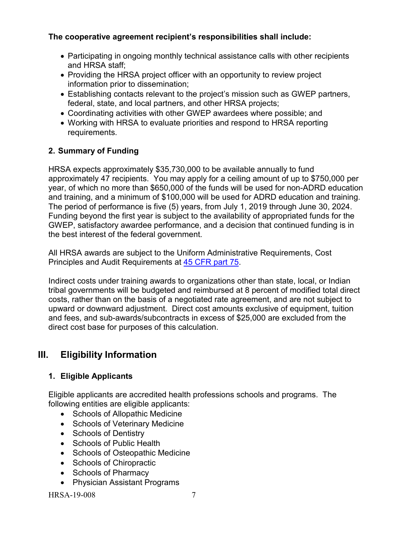# **The cooperative agreement recipient's responsibilities shall include:**

- Participating in ongoing monthly technical assistance calls with other recipients and HRSA staff;
- Providing the HRSA project officer with an opportunity to review project information prior to dissemination;
- Establishing contacts relevant to the project's mission such as GWEP partners, federal, state, and local partners, and other HRSA projects;
- Coordinating activities with other GWEP awardees where possible; and
- Working with HRSA to evaluate priorities and respond to HRSA reporting requirements.

# <span id="page-11-0"></span>**2. Summary of Funding**

HRSA expects approximately \$35,730,000 to be available annually to fund approximately 47 recipients. You may apply for a ceiling amount of up to \$750,000 per year, of which no more than \$650,000 of the funds will be used for non-ADRD education and training, and a minimum of \$100,000 will be used for ADRD education and training. The period of performance is five (5) years, from July 1, 2019 through June 30, 2024. Funding beyond the first year is subject to the availability of appropriated funds for the GWEP, satisfactory awardee performance, and a decision that continued funding is in the best interest of the federal government.

All HRSA awards are subject to the Uniform Administrative Requirements, Cost Principles and Audit Requirements at [45 CFR part 75.](http://www.ecfr.gov/cgi-bin/retrieveECFR?gp=1&SID=4d52364ec83fab994c665943dadf9cf7&ty=HTML&h=L&r=PART&n=pt45.1.75)

Indirect costs under training awards to organizations other than state, local, or Indian tribal governments will be budgeted and reimbursed at 8 percent of modified total direct costs, rather than on the basis of a negotiated rate agreement, and are not subject to upward or downward adjustment. Direct cost amounts exclusive of equipment, tuition and fees, and sub-awards/subcontracts in excess of \$25,000 are excluded from the direct cost base for purposes of this calculation.

# <span id="page-11-1"></span>**III. Eligibility Information**

# <span id="page-11-2"></span>**1. Eligible Applicants**

Eligible applicants are accredited health professions schools and programs. The following entities are eligible applicants:

- Schools of Allopathic Medicine
- Schools of Veterinary Medicine
- Schools of Dentistry
- Schools of Public Health
- Schools of Osteopathic Medicine
- Schools of Chiropractic
- Schools of Pharmacy
- Physician Assistant Programs

HRSA-19-008 7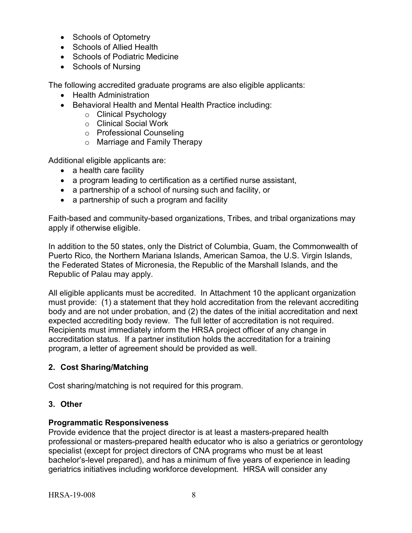- Schools of Optometry
- Schools of Allied Health
- Schools of Podiatric Medicine
- Schools of Nursing

The following accredited graduate programs are also eligible applicants:

- Health Administration
- Behavioral Health and Mental Health Practice including:
	- o Clinical Psychology
	- o Clinical Social Work
	- o Professional Counseling
	- o Marriage and Family Therapy

Additional eligible applicants are:

- a health care facility
- a program leading to certification as a certified nurse assistant,
- a partnership of a school of nursing such and facility, or
- a partnership of such a program and facility

Faith-based and community-based organizations, Tribes, and tribal organizations may apply if otherwise eligible.

In addition to the 50 states, only the District of Columbia, Guam, the Commonwealth of Puerto Rico, the Northern Mariana Islands, American Samoa, the U.S. Virgin Islands, the Federated States of Micronesia, the Republic of the Marshall Islands, and the Republic of Palau may apply.

All eligible applicants must be accredited. In Attachment 10 the applicant organization must provide: (1) a statement that they hold accreditation from the relevant accrediting body and are not under probation, and (2) the dates of the initial accreditation and next expected accrediting body review. The full letter of accreditation is not required. Recipients must immediately inform the HRSA project officer of any change in accreditation status. If a partner institution holds the accreditation for a training program, a letter of agreement should be provided as well.

# <span id="page-12-0"></span>**2. Cost Sharing/Matching**

Cost sharing/matching is not required for this program.

# <span id="page-12-1"></span>**3. Other**

# **Programmatic Responsiveness**

Provide evidence that the project director is at least a masters-prepared health professional or masters-prepared health educator who is also a geriatrics or gerontology specialist (except for project directors of CNA programs who must be at least bachelor's-level prepared), and has a minimum of five years of experience in leading geriatrics initiatives including workforce development. HRSA will consider any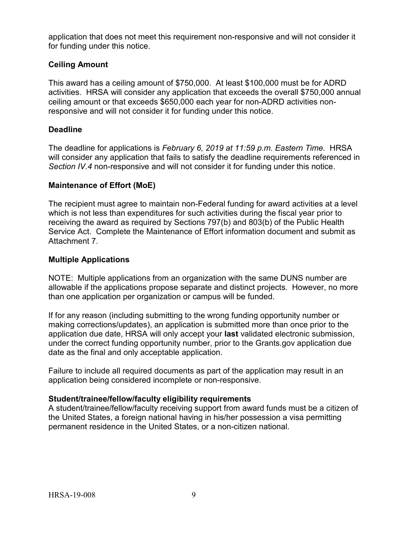application that does not meet this requirement non-responsive and will not consider it for funding under this notice.

## **Ceiling Amount**

This award has a ceiling amount of \$750,000. At least \$100,000 must be for ADRD activities. HRSA will consider any application that exceeds the overall \$750,000 annual ceiling amount or that exceeds \$650,000 each year for non-ADRD activities nonresponsive and will not consider it for funding under this notice.

## **Deadline**

The deadline for applications is *February 6, 2019 at 11:59 p.m. Eastern Time*. HRSA will consider any application that fails to satisfy the deadline requirements referenced in *Section IV.4* non-responsive and will not consider it for funding under this notice.

## **Maintenance of Effort (MoE)**

The recipient must agree to maintain non-Federal funding for award activities at a level which is not less than expenditures for such activities during the fiscal year prior to receiving the award as required by Sections 797(b) and 803(b) of the Public Health Service Act. Complete the Maintenance of Effort information document and submit as Attachment 7.

#### **Multiple Applications**

NOTE: Multiple applications from an organization with the same DUNS number are allowable if the applications propose separate and distinct projects. However, no more than one application per organization or campus will be funded.

If for any reason (including submitting to the wrong funding opportunity number or making corrections/updates), an application is submitted more than once prior to the application due date, HRSA will only accept your **last** validated electronic submission, under the correct funding opportunity number, prior to the Grants.gov application due date as the final and only acceptable application.

Failure to include all required documents as part of the application may result in an application being considered incomplete or non-responsive.

#### **Student/trainee/fellow/faculty eligibility requirements**

A student/trainee/fellow/faculty receiving support from award funds must be a citizen of the United States, a foreign national having in his/her possession a visa permitting permanent residence in the United States, or a non-citizen national.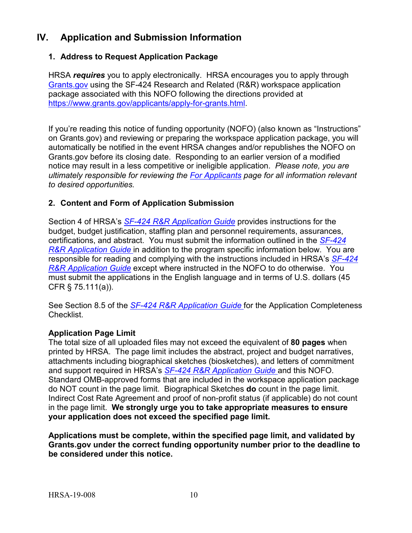# <span id="page-14-0"></span>**IV. Application and Submission Information**

# <span id="page-14-1"></span>**1. Address to Request Application Package**

HRSA *requires* you to apply electronically. HRSA encourages you to apply through [Grants.gov](https://www.grants.gov/) using the SF-424 Research and Related (R&R) workspace application package associated with this NOFO following the directions provided at [https://www.grants.gov/applicants/apply-for-grants.html.](https://www.grants.gov/applicants/apply-for-grants.html)

If you're reading this notice of funding opportunity (NOFO) (also known as "Instructions" on Grants.gov) and reviewing or preparing the workspace application package, you will automatically be notified in the event HRSA changes and/or republishes the NOFO on Grants.gov before its closing date. Responding to an earlier version of a modified notice may result in a less competitive or ineligible application. *Please note, you are ultimately responsible for reviewing the [For Applicants](https://www.grants.gov/web/grants/applicants.html) page for all information relevant to desired opportunities.*

## <span id="page-14-2"></span>**2. Content and Form of Application Submission**

Section 4 of HRSA's *SF-424 R&R [Application Guide](http://www.hrsa.gov/grants/apply/applicationguide/sf424rrguidev2.pdf)* provides instructions for the budget, budget justification, staffing plan and personnel requirements, assurances, certifications, and abstract. You must submit the information outlined in the *[SF-424](http://www.hrsa.gov/grants/apply/applicationguide/sf424rrguidev2.pdf) R&R [Application Guide](http://www.hrsa.gov/grants/apply/applicationguide/sf424rrguidev2.pdf)* in addition to the program specific information below. You are responsible for reading and complying with the instructions included in HRSA's *[SF-424](http://www.hrsa.gov/grants/apply/applicationguide/sf424rrguidev2.pdf) R&R [Application Guide](http://www.hrsa.gov/grants/apply/applicationguide/sf424rrguidev2.pdf)* except where instructed in the NOFO to do otherwise. You must submit the applications in the English language and in terms of U.S. dollars (45 CFR § 75.111(a)).

See Section 8.5 of the *SF-424 R&R [Application Guide](http://www.hrsa.gov/grants/apply/applicationguide/sf424rrguidev2.pdf)* for the Application Completeness Checklist.

#### **Application Page Limit**

The total size of all uploaded files may not exceed the equivalent of **80 pages** when printed by HRSA. The page limit includes the abstract, project and budget narratives, attachments including biographical sketches (biosketches), and letters of commitment and support required in HRSA's *SF-424 R&R [Application Guide](http://www.hrsa.gov/grants/apply/applicationguide/sf424rrguidev2.pdf)* and this NOFO. Standard OMB-approved forms that are included in the workspace application package do NOT count in the page limit. Biographical Sketches **do** count in the page limit. Indirect Cost Rate Agreement and proof of non-profit status (if applicable) do not count in the page limit. **We strongly urge you to take appropriate measures to ensure your application does not exceed the specified page limit.**

**Applications must be complete, within the specified page limit, and validated by Grants.gov under the correct funding opportunity number prior to the deadline to be considered under this notice.**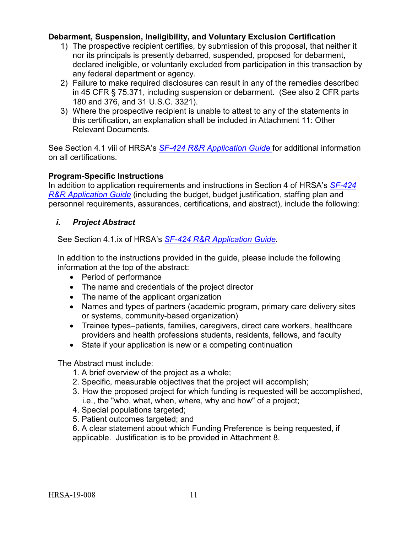## **Debarment, Suspension, Ineligibility, and Voluntary Exclusion Certification**

- 1) The prospective recipient certifies, by submission of this proposal, that neither it nor its principals is presently debarred, suspended, proposed for debarment, declared ineligible, or voluntarily excluded from participation in this transaction by any federal department or agency.
- 2) Failure to make required disclosures can result in any of the remedies described in 45 CFR § 75.371, including suspension or debarment. (See also 2 CFR parts 180 and 376, and 31 U.S.C. 3321).
- 3) Where the prospective recipient is unable to attest to any of the statements in this certification, an explanation shall be included in Attachment 11: Other Relevant Documents.

See Section 4.1 viii of HRSA's *SF-424 R&R [Application Guide](http://www.hrsa.gov/grants/apply/applicationguide/sf424rrguidev2.pdf)* for additional information on all certifications.

#### **Program-Specific Instructions**

In addition to application requirements and instructions in Section 4 of HRSA's *[SF-424](http://www.hrsa.gov/grants/apply/applicationguide/sf424rrguidev2.pdf) R&R [Application Guide](http://www.hrsa.gov/grants/apply/applicationguide/sf424rrguidev2.pdf)* (including the budget, budget justification, staffing plan and personnel requirements, assurances, certifications, and abstract), include the following:

## <span id="page-15-0"></span>*i. Project Abstract*

See Section 4.1.ix of HRSA's *SF-424 R&R [Application Guide.](http://www.hrsa.gov/grants/apply/applicationguide/sf424rrguidev2.pdf)*

In addition to the instructions provided in the guide, please include the following information at the top of the abstract:

- Period of performance
- The name and credentials of the project director
- The name of the applicant organization
- Names and types of partners (academic program, primary care delivery sites or systems, community-based organization)
- Trainee types–patients, families, caregivers, direct care workers, healthcare providers and health professions students, residents, fellows, and faculty
- State if your application is new or a competing continuation

The Abstract must include:

- 1. A brief overview of the project as a whole;
- 2. Specific, measurable objectives that the project will accomplish;
- 3. How the proposed project for which funding is requested will be accomplished, i.e., the "who, what, when, where, why and how" of a project;
- 4. Special populations targeted;
- 5. Patient outcomes targeted; and
- 6. A clear statement about which Funding Preference is being requested, if applicable. Justification is to be provided in Attachment 8.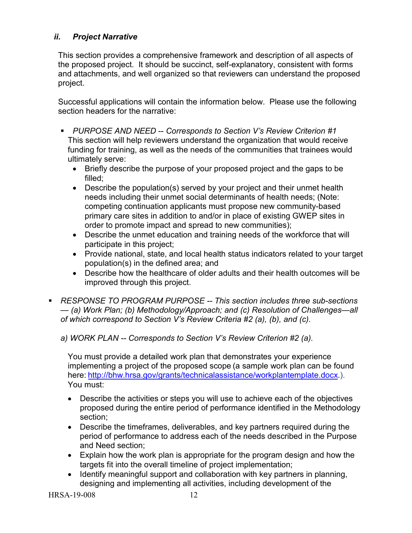# <span id="page-16-0"></span>*ii. Project Narrative*

This section provides a comprehensive framework and description of all aspects of the proposed project. It should be succinct, self-explanatory, consistent with forms and attachments, and well organized so that reviewers can understand the proposed project.

Successful applications will contain the information below. Please use the following section headers for the narrative:

- **PURPOSE AND NEED -- Corresponds to Section V's Review Criterion #1** This section will help reviewers understand the organization that would receive funding for training, as well as the needs of the communities that trainees would ultimately serve:
	- Briefly describe the purpose of your proposed project and the gaps to be filled;
	- Describe the population(s) served by your project and their unmet health needs including their unmet social determinants of health needs; (Note: competing continuation applicants must propose new community-based primary care sites in addition to and/or in place of existing GWEP sites in order to promote impact and spread to new communities);
	- Describe the unmet education and training needs of the workforce that will participate in this project;
	- Provide national, state, and local health status indicators related to your target population(s) in the defined area; and
	- Describe how the healthcare of older adults and their health outcomes will be improved through this project.
- *RESPONSE TO PROGRAM PURPOSE -- This section includes three sub-sections — (a) Work Plan; (b) Methodology/Approach; and (c) Resolution of Challenges—all of which correspond to Section V's Review Criteria #2 (a), (b), and (c).*
	- *a) WORK PLAN -- Corresponds to Section V's Review Criterion #2 (a).*

You must provide a detailed work plan that demonstrates your experience implementing a project of the proposed scope (a sample work plan can be found here: [http://bhw.hrsa.gov/grants/technicalassistance/workplantemplate.docx.](http://bhw.hrsa.gov/grants/technicalassistance/workplantemplate.docx)). You must:

- Describe the activities or steps you will use to achieve each of the objectives proposed during the entire period of performance identified in the Methodology section;
- Describe the timeframes, deliverables, and key partners required during the period of performance to address each of the needs described in the Purpose and Need section;
- Explain how the work plan is appropriate for the program design and how the targets fit into the overall timeline of project implementation;
- Identify meaningful support and collaboration with key partners in planning, designing and implementing all activities, including development of the

HRSA-19-008 12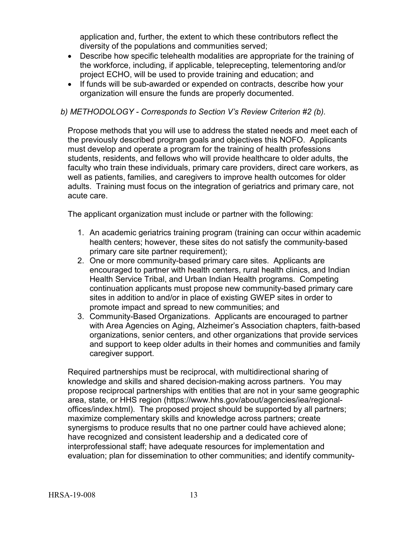application and, further, the extent to which these contributors reflect the diversity of the populations and communities served;

- Describe how specific telehealth modalities are appropriate for the training of the workforce, including, if applicable, teleprecepting, telementoring and/or project ECHO, will be used to provide training and education; and
- If funds will be sub-awarded or expended on contracts, describe how your organization will ensure the funds are properly documented.

#### *b) METHODOLOGY - Corresponds to Section V's Review Criterion #2 (b).*

Propose methods that you will use to address the stated needs and meet each of the previously described program goals and objectives this NOFO. Applicants must develop and operate a program for the training of health professions students, residents, and fellows who will provide healthcare to older adults, the faculty who train these individuals, primary care providers, direct care workers, as well as patients, families, and caregivers to improve health outcomes for older adults. Training must focus on the integration of geriatrics and primary care, not acute care.

The applicant organization must include or partner with the following:

- 1. An academic geriatrics training program (training can occur within academic health centers; however, these sites do not satisfy the community-based primary care site partner requirement);
- 2. One or more community-based primary care sites. Applicants are encouraged to partner with health centers, rural health clinics, and Indian Health Service Tribal, and Urban Indian Health programs. Competing continuation applicants must propose new community-based primary care sites in addition to and/or in place of existing GWEP sites in order to promote impact and spread to new communities; and
- 3. Community-Based Organizations. Applicants are encouraged to partner with Area Agencies on Aging, Alzheimer's Association chapters, faith-based organizations, senior centers, and other organizations that provide services and support to keep older adults in their homes and communities and family caregiver support.

Required partnerships must be reciprocal, with multidirectional sharing of knowledge and skills and shared decision-making across partners. You may propose reciprocal partnerships with entities that are not in your same geographic area, state, or HHS region (https://www.hhs.gov/about/agencies/iea/regionaloffices/index.html). The proposed project should be supported by all partners; maximize complementary skills and knowledge across partners; create synergisms to produce results that no one partner could have achieved alone; have recognized and consistent leadership and a dedicated core of interprofessional staff; have adequate resources for implementation and evaluation; plan for dissemination to other communities; and identify community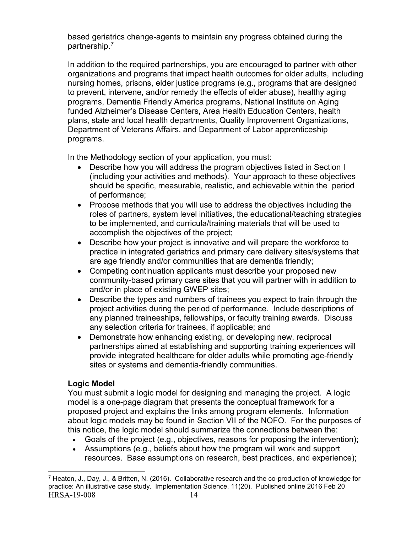based geriatrics change-agents to maintain any progress obtained during the partnership.[7](#page-18-0)

In addition to the required partnerships, you are encouraged to partner with other organizations and programs that impact health outcomes for older adults, including nursing homes, prisons, elder justice programs (e.g., programs that are designed to prevent, intervene, and/or remedy the effects of elder abuse), healthy aging programs, Dementia Friendly America programs, National Institute on Aging funded Alzheimer's Disease Centers, Area Health Education Centers, health plans, state and local health departments, Quality Improvement Organizations, Department of Veterans Affairs, and Department of Labor apprenticeship programs.

In the Methodology section of your application, you must:

- Describe how you will address the program objectives listed in Section I (including your activities and methods). Your approach to these objectives should be specific, measurable, realistic, and achievable within the period of performance;
- Propose methods that you will use to address the objectives including the roles of partners, system level initiatives, the educational/teaching strategies to be implemented, and curricula/training materials that will be used to accomplish the objectives of the project;
- Describe how your project is innovative and will prepare the workforce to practice in integrated geriatrics and primary care delivery sites/systems that are age friendly and/or communities that are dementia friendly;
- Competing continuation applicants must describe your proposed new community-based primary care sites that you will partner with in addition to and/or in place of existing GWEP sites;
- Describe the types and numbers of trainees you expect to train through the project activities during the period of performance. Include descriptions of any planned traineeships, fellowships, or faculty training awards. Discuss any selection criteria for trainees, if applicable; and
- Demonstrate how enhancing existing, or developing new, reciprocal partnerships aimed at establishing and supporting training experiences will provide integrated healthcare for older adults while promoting age-friendly sites or systems and dementia-friendly communities.

# **Logic Model**

You must submit a logic model for designing and managing the project. A logic model is a one-page diagram that presents the conceptual framework for a proposed project and explains the links among program elements. Information about logic models may be found in Section VII of the NOFO. For the purposes of this notice, the logic model should summarize the connections between the:

- Goals of the project (e.g., objectives, reasons for proposing the intervention);
- Assumptions (e.g., beliefs about how the program will work and support resources. Base assumptions on research, best practices, and experience);

<span id="page-18-0"></span>HRSA-19-008 14  $\overline{a}$ <sup>7</sup> Heaton, J., Day, J., & Britten, N. (2016). Collaborative research and the co-production of knowledge for practice: An illustrative case study. Implementation Science, 11(20). Published online 2016 Feb 20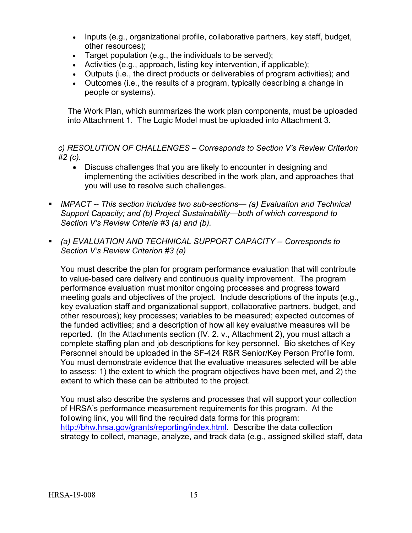- Inputs (e.g., organizational profile, collaborative partners, key staff, budget, other resources);
- Target population (e.g., the individuals to be served);
- Activities (e.g., approach, listing key intervention, if applicable);
- Outputs (i.e., the direct products or deliverables of program activities); and
- Outcomes (i.e., the results of a program, typically describing a change in people or systems).

The Work Plan, which summarizes the work plan components, must be uploaded into Attachment 1. The Logic Model must be uploaded into Attachment 3.

*c) RESOLUTION OF CHALLENGES – Corresponds to Section V's Review Criterion #2 (c).*

- Discuss challenges that you are likely to encounter in designing and implementing the activities described in the work plan, and approaches that you will use to resolve such challenges.
- *IMPACT -- This section includes two sub-sections— (a) Evaluation and Technical Support Capacity; and (b) Project Sustainability—both of which correspond to Section V's Review Criteria #3 (a) and (b).*
- *(a) EVALUATION AND TECHNICAL SUPPORT CAPACITY -- Corresponds to Section V's Review Criterion #3 (a)*

You must describe the plan for program performance evaluation that will contribute to value-based care delivery and continuous quality improvement. The program performance evaluation must monitor ongoing processes and progress toward meeting goals and objectives of the project. Include descriptions of the inputs (e.g., key evaluation staff and organizational support, collaborative partners, budget, and other resources); key processes; variables to be measured; expected outcomes of the funded activities; and a description of how all key evaluative measures will be reported. (In the Attachments section (IV. 2. v., Attachment 2), you must attach a complete staffing plan and job descriptions for key personnel. Bio sketches of Key Personnel should be uploaded in the SF-424 R&R Senior/Key Person Profile form. You must demonstrate evidence that the evaluative measures selected will be able to assess: 1) the extent to which the program objectives have been met, and 2) the extent to which these can be attributed to the project.

You must also describe the systems and processes that will support your collection of HRSA's performance measurement requirements for this program. At the following link, you will find the required data forms for this program: [http://bhw.hrsa.gov/grants/reporting/index.html.](http://bhw.hrsa.gov/grants/reporting/index.html) Describe the data collection strategy to collect, manage, analyze, and track data (e.g., assigned skilled staff, data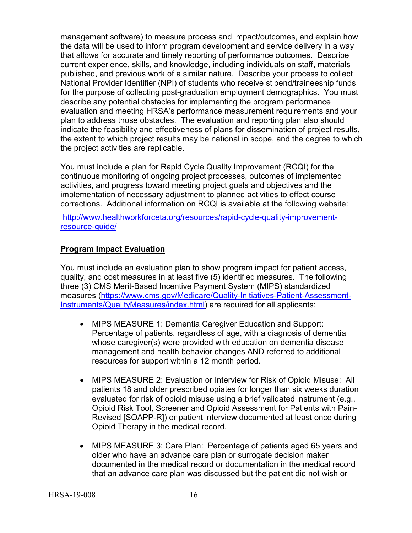management software) to measure process and impact/outcomes, and explain how the data will be used to inform program development and service delivery in a way that allows for accurate and timely reporting of performance outcomes. Describe current experience, skills, and knowledge, including individuals on staff, materials published, and previous work of a similar nature. Describe your process to collect National Provider Identifier (NPI) of students who receive stipend/traineeship funds for the purpose of collecting post-graduation employment demographics. You must describe any potential obstacles for implementing the program performance evaluation and meeting HRSA's performance measurement requirements and your plan to address those obstacles. The evaluation and reporting plan also should indicate the feasibility and effectiveness of plans for dissemination of project results, the extent to which project results may be national in scope, and the degree to which the project activities are replicable.

You must include a plan for Rapid Cycle Quality Improvement (RCQI) for the continuous monitoring of ongoing project processes, outcomes of implemented activities, and progress toward meeting project goals and objectives and the implementation of necessary adjustment to planned activities to effect course corrections. Additional information on RCQI is available at the following website:

[http://www.healthworkforceta.org/resources/rapid-cycle-quality-improvement](http://www.healthworkforceta.org/resources/rapid-cycle-quality-improvement-resource-guide/)[resource-guide/](http://www.healthworkforceta.org/resources/rapid-cycle-quality-improvement-resource-guide/)

# **Program Impact Evaluation**

You must include an evaluation plan to show program impact for patient access, quality, and cost measures in at least five (5) identified measures. The following three (3) CMS Merit-Based Incentive Payment System (MIPS) standardized measures [\(https://www.cms.gov/Medicare/Quality-Initiatives-Patient-Assessment-](https://www.cms.gov/Medicare/Quality-Initiatives-Patient-Assessment-Instruments/QualityMeasures/index.html)[Instruments/QualityMeasures/index.html\)](https://www.cms.gov/Medicare/Quality-Initiatives-Patient-Assessment-Instruments/QualityMeasures/index.html) are required for all applicants:

- MIPS MEASURE 1: Dementia Caregiver Education and Support: Percentage of patients, regardless of age, with a diagnosis of dementia whose caregiver(s) were provided with education on dementia disease management and health behavior changes AND referred to additional resources for support within a 12 month period.
- MIPS MEASURE 2: Evaluation or Interview for Risk of Opioid Misuse: All patients 18 and older prescribed opiates for longer than six weeks duration evaluated for risk of opioid misuse using a brief validated instrument (e.g., Opioid Risk Tool, Screener and Opioid Assessment for Patients with Pain-Revised [SOAPP-R]) or patient interview documented at least once during Opioid Therapy in the medical record.
- MIPS MEASURE 3: Care Plan: Percentage of patients aged 65 years and older who have an advance care plan or surrogate decision maker documented in the medical record or documentation in the medical record that an advance care plan was discussed but the patient did not wish or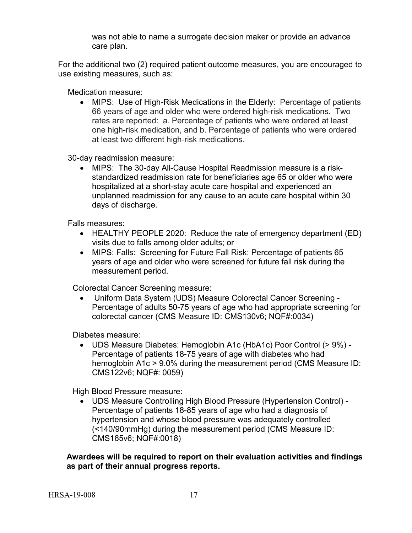was not able to name a surrogate decision maker or provide an advance care plan.

For the additional two (2) required patient outcome measures, you are encouraged to use existing measures, such as:

Medication measure:

• MIPS: Use of High-Risk Medications in the Elderly: Percentage of patients 66 years of age and older who were ordered high-risk medications. Two rates are reported: a. Percentage of patients who were ordered at least one high-risk medication, and b. Percentage of patients who were ordered at least two different high-risk medications.

30-day readmission measure:

• MIPS: The 30-day All-Cause Hospital Readmission measure is a riskstandardized readmission rate for beneficiaries age 65 or older who were hospitalized at a short-stay acute care hospital and experienced an unplanned readmission for any cause to an acute care hospital within 30 days of discharge.

Falls measures:

- HEALTHY PEOPLE 2020: Reduce the rate of emergency department (ED) visits due to falls among older adults; or
- MIPS: Falls: Screening for Future Fall Risk: Percentage of patients 65 years of age and older who were screened for future fall risk during the measurement period.

Colorectal Cancer Screening measure:

• Uniform Data System (UDS) Measure Colorectal Cancer Screening - Percentage of adults 50-75 years of age who had appropriate screening for colorectal cancer (CMS Measure ID: CMS130v6; NQF#:0034)

Diabetes measure:

• UDS Measure Diabetes: Hemoglobin A1c (HbA1c) Poor Control (> 9%) - Percentage of patients 18-75 years of age with diabetes who had hemoglobin A1c > 9.0% during the measurement period (CMS Measure ID: CMS122v6; NQF#: 0059)

High Blood Pressure measure:

• UDS Measure Controlling High Blood Pressure (Hypertension Control) - Percentage of patients 18-85 years of age who had a diagnosis of hypertension and whose blood pressure was adequately controlled (<140/90mmHg) during the measurement period (CMS Measure ID: CMS165v6; NQF#:0018)

**Awardees will be required to report on their evaluation activities and findings as part of their annual progress reports.**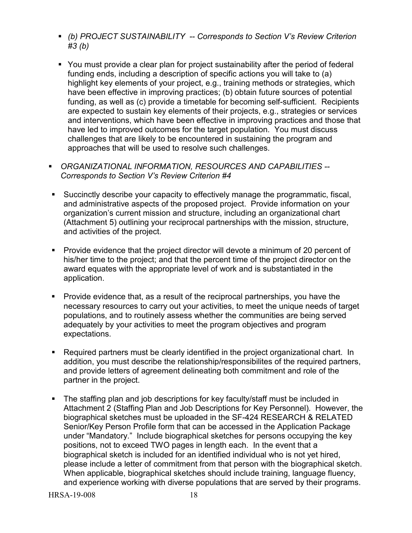- *(b) PROJECT SUSTAINABILITY -- Corresponds to Section V's Review Criterion #3 (b)*
- You must provide a clear plan for project sustainability after the period of federal funding ends, including a description of specific actions you will take to (a) highlight key elements of your project, e.g., training methods or strategies, which have been effective in improving practices; (b) obtain future sources of potential funding, as well as (c) provide a timetable for becoming self-sufficient. Recipients are expected to sustain key elements of their projects, e.g., strategies or services and interventions, which have been effective in improving practices and those that have led to improved outcomes for the target population. You must discuss challenges that are likely to be encountered in sustaining the program and approaches that will be used to resolve such challenges.

 *ORGANIZATIONAL INFORMATION, RESOURCES AND CAPABILITIES -- Corresponds to Section V's Review Criterion #4* 

- Succinctly describe your capacity to effectively manage the programmatic, fiscal, and administrative aspects of the proposed project. Provide information on your organization's current mission and structure, including an organizational chart (Attachment 5) outlining your reciprocal partnerships with the mission, structure, and activities of the project.
- Provide evidence that the project director will devote a minimum of 20 percent of his/her time to the project; and that the percent time of the project director on the award equates with the appropriate level of work and is substantiated in the application.
- Provide evidence that, as a result of the reciprocal partnerships, you have the necessary resources to carry out your activities, to meet the unique needs of target populations, and to routinely assess whether the communities are being served adequately by your activities to meet the program objectives and program expectations.
- Required partners must be clearly identified in the project organizational chart. In addition, you must describe the relationship/responsibilites of the required partners, and provide letters of agreement delineating both commitment and role of the partner in the project.
- The staffing plan and job descriptions for key faculty/staff must be included in Attachment 2 (Staffing Plan and Job Descriptions for Key Personnel). However, the biographical sketches must be uploaded in the SF-424 RESEARCH & RELATED Senior/Key Person Profile form that can be accessed in the Application Package under "Mandatory." Include biographical sketches for persons occupying the key positions, not to exceed TWO pages in length each. In the event that a biographical sketch is included for an identified individual who is not yet hired, please include a letter of commitment from that person with the biographical sketch. When applicable, biographical sketches should include training, language fluency, and experience working with diverse populations that are served by their programs.

HRSA-19-008 18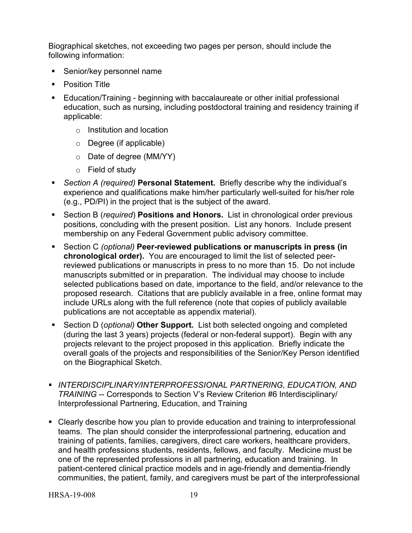Biographical sketches, not exceeding two pages per person, should include the following information:

- Senior/key personnel name
- **•** Position Title
- Education/Training beginning with baccalaureate or other initial professional education, such as nursing, including postdoctoral training and residency training if applicable:
	- o Institution and location
	- o Degree (if applicable)
	- o Date of degree (MM/YY)
	- o Field of study
- *Section A (required)* **Personal Statement.** Briefly describe why the individual's experience and qualifications make him/her particularly well-suited for his/her role (e.g., PD/PI) in the project that is the subject of the award.
- Section B (*required*) **Positions and Honors.** List in chronological order previous positions, concluding with the present position. List any honors. Include present membership on any Federal Government public advisory committee.
- Section C *(optional)* **Peer-reviewed publications or manuscripts in press (in chronological order).** You are encouraged to limit the list of selected peerreviewed publications or manuscripts in press to no more than 15. Do not include manuscripts submitted or in preparation. The individual may choose to include selected publications based on date, importance to the field, and/or relevance to the proposed research. Citations that are publicly available in a free, online format may include URLs along with the full reference (note that copies of publicly available publications are not acceptable as appendix material).
- Section D (*optional)* **Other Support.** List both selected ongoing and completed (during the last 3 years) projects (federal or non-federal support). Begin with any projects relevant to the project proposed in this application. Briefly indicate the overall goals of the projects and responsibilities of the Senior/Key Person identified on the Biographical Sketch.
- **INTERDISCIPLINARY/INTERPROFESSIONAL PARTNERING, EDUCATION, AND** *TRAINING* -- Corresponds to Section V's Review Criterion #6 Interdisciplinary/ Interprofessional Partnering, Education, and Training
- Clearly describe how you plan to provide education and training to interprofessional teams. The plan should consider the interprofessional partnering, education and training of patients, families, caregivers, direct care workers, healthcare providers, and health professions students, residents, fellows, and faculty. Medicine must be one of the represented professions in all partnering, education and training. In patient-centered clinical practice models and in age-friendly and dementia-friendly communities, the patient, family, and caregivers must be part of the interprofessional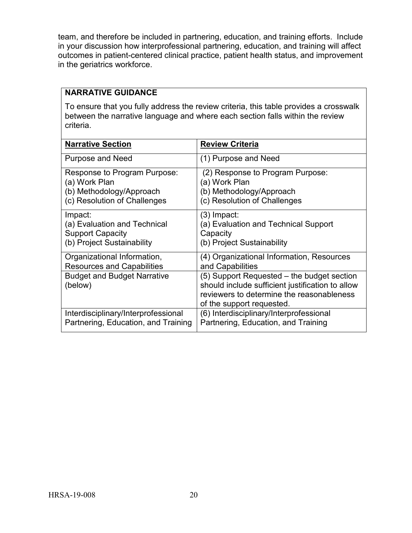team, and therefore be included in partnering, education, and training efforts. Include in your discussion how interprofessional partnering, education, and training will affect outcomes in patient-centered clinical practice, patient health status, and improvement in the geriatrics workforce.

## **NARRATIVE GUIDANCE**

To ensure that you fully address the review criteria, this table provides a crosswalk between the narrative language and where each section falls within the review criteria.

| <b>Narrative Section</b>                      | <b>Review Criteria</b>                                                                                                                                                   |
|-----------------------------------------------|--------------------------------------------------------------------------------------------------------------------------------------------------------------------------|
| <b>Purpose and Need</b>                       | (1) Purpose and Need                                                                                                                                                     |
| Response to Program Purpose:                  | (2) Response to Program Purpose:                                                                                                                                         |
| (a) Work Plan                                 | (a) Work Plan                                                                                                                                                            |
| (b) Methodology/Approach                      | (b) Methodology/Approach                                                                                                                                                 |
| (c) Resolution of Challenges                  | (c) Resolution of Challenges                                                                                                                                             |
| Impact:                                       | (3) Impact:                                                                                                                                                              |
| (a) Evaluation and Technical                  | (a) Evaluation and Technical Support                                                                                                                                     |
| <b>Support Capacity</b>                       | Capacity                                                                                                                                                                 |
| (b) Project Sustainability                    | (b) Project Sustainability                                                                                                                                               |
| Organizational Information,                   | (4) Organizational Information, Resources                                                                                                                                |
| <b>Resources and Capabilities</b>             | and Capabilities                                                                                                                                                         |
| <b>Budget and Budget Narrative</b><br>(below) | (5) Support Requested – the budget section<br>should include sufficient justification to allow<br>reviewers to determine the reasonableness<br>of the support requested. |
| Interdisciplinary/Interprofessional           | (6) Interdisciplinary/Interprofessional                                                                                                                                  |
| Partnering, Education, and Training           | Partnering, Education, and Training                                                                                                                                      |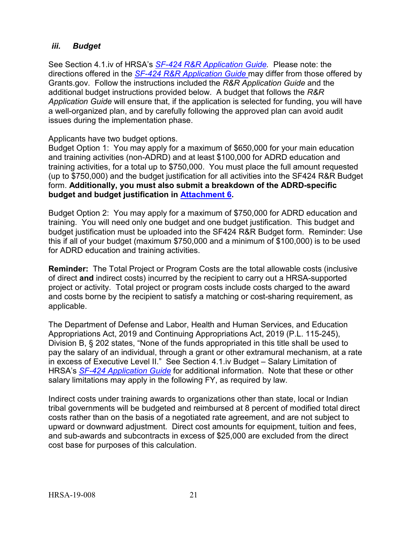## <span id="page-25-0"></span>*iii. Budget*

See Section 4.1.iv of HRSA's *SF-424 R&R [Application Guide.](http://www.hrsa.gov/grants/apply/applicationguide/sf424rrguidev2.pdf)* Please note: the directions offered in the *SF-424 R&R [Application Guide](http://www.hrsa.gov/grants/apply/applicationguide/sf424rrguidev2.pdf)* may differ from those offered by Grants.gov. Follow the instructions included the *R&R Application Guide* and the additional budget instructions provided below. A budget that follows the *R&R Application Guide* will ensure that, if the application is selected for funding, you will have a well-organized plan, and by carefully following the approved plan can avoid audit issues during the implementation phase.

#### Applicants have two budget options.

<span id="page-25-1"></span>Budget Option 1: You may apply for a maximum of \$650,000 for your main education and training activities (non-ADRD) and at least \$100,000 for ADRD education and training activities, for a total up to \$750,000. You must place the full amount requested (up to \$750,000) and the budget justification for all activities into the SF424 R&R Budget form. **Additionally, you must also submit a breakdown of the ADRD-specific budget and budget justification in [Attachment 6.](#page-28-0)**

<span id="page-25-2"></span>Budget Option 2: You may apply for a maximum of \$750,000 for ADRD education and training. You will need only one budget and one budget justification. This budget and budget justification must be uploaded into the SF424 R&R Budget form. Reminder: Use this if all of your budget (maximum \$750,000 and a minimum of \$100,000) is to be used for ADRD education and training activities.

**Reminder:** The Total Project or Program Costs are the total allowable costs (inclusive of direct **and** indirect costs) incurred by the recipient to carry out a HRSA-supported project or activity. Total project or program costs include costs charged to the award and costs borne by the recipient to satisfy a matching or cost-sharing requirement, as applicable.

The Department of Defense and Labor, Health and Human Services, and Education Appropriations Act, 2019 and Continuing Appropriations Act, 2019 (P.L. 115-245), Division B, § 202 states, "None of the funds appropriated in this title shall be used to pay the salary of an individual, through a grant or other extramural mechanism, at a rate in excess of Executive Level II." See Section 4.1.iv Budget – Salary Limitation of HRSA's *SF-424 [Application Guide](http://www.hrsa.gov/grants/apply/applicationguide/sf424guide.pdf)* for additional information. Note that these or other salary limitations may apply in the following FY, as required by law.

Indirect costs under training awards to organizations other than state, local or Indian tribal governments will be budgeted and reimbursed at 8 percent of modified total direct costs rather than on the basis of a negotiated rate agreement, and are not subject to upward or downward adjustment. Direct cost amounts for equipment, tuition and fees, and sub-awards and subcontracts in excess of \$25,000 are excluded from the direct cost base for purposes of this calculation.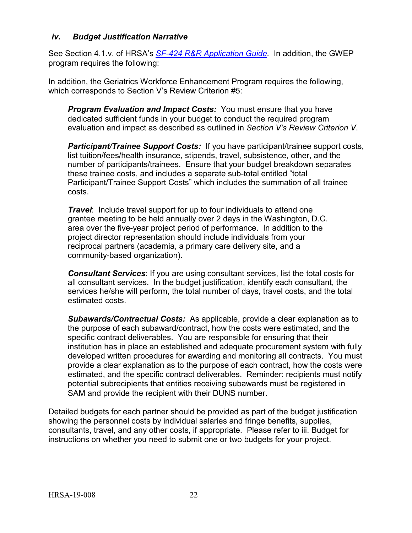#### <span id="page-26-0"></span>*iv. Budget Justification Narrative*

See Section 4.1.v. of HRSA's *SF-424 R&R [Application Guide.](http://www.hrsa.gov/grants/apply/applicationguide/sf424rrguidev2.pdf)* In addition, the GWEP program requires the following:

In addition, the Geriatrics Workforce Enhancement Program requires the following, which corresponds to Section V's Review Criterion #5:

*Program Evaluation and Impact Costs:* You must ensure that you have dedicated sufficient funds in your budget to conduct the required program evaluation and impact as described as outlined in *Section V's Review Criterion V*.

*Participant/Trainee Support Costs:* If you have participant/trainee support costs, list tuition/fees/health insurance, stipends, travel, subsistence, other, and the number of participants/trainees. Ensure that your budget breakdown separates these trainee costs, and includes a separate sub-total entitled "total Participant/Trainee Support Costs" which includes the summation of all trainee costs.

*Travel*: Include travel support for up to four individuals to attend one grantee meeting to be held annually over 2 days in the Washington, D.C. area over the five-year project period of performance. In addition to the project director representation should include individuals from your reciprocal partners (academia, a primary care delivery site, and a community-based organization).

*Consultant Services*: If you are using consultant services, list the total costs for all consultant services. In the budget justification, identify each consultant, the services he/she will perform, the total number of days, travel costs, and the total estimated costs.

*Subawards/Contractual Costs:* As applicable, provide a clear explanation as to the purpose of each subaward/contract, how the costs were estimated, and the specific contract deliverables. You are responsible for ensuring that their institution has in place an established and adequate procurement system with fully developed written procedures for awarding and monitoring all contracts. You must provide a clear explanation as to the purpose of each contract, how the costs were estimated, and the specific contract deliverables. Reminder: recipients must notify potential subrecipients that entities receiving subawards must be registered in SAM and provide the recipient with their DUNS number.

Detailed budgets for each partner should be provided as part of the budget justification showing the personnel costs by individual salaries and fringe benefits, supplies, consultants, travel, and any other costs, if appropriate. Please refer to iii. Budget for instructions on whether you need to submit one or two budgets for your project.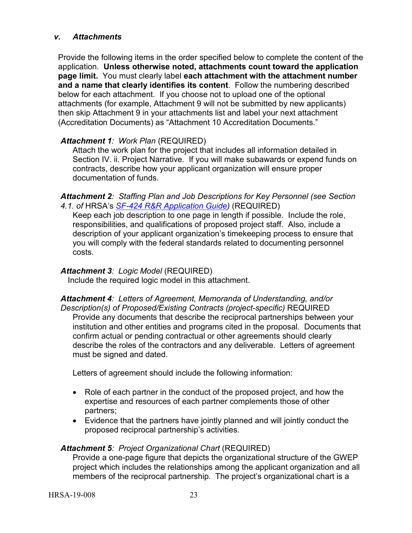#### <span id="page-27-0"></span>*v. Attachments*

Provide the following items in the order specified below to complete the content of the application. **Unless otherwise noted, attachments count toward the application page limit.** You must clearly label **each attachment with the attachment number and a name that clearly identifies its content**. Follow the numbering described below for each attachment. If you choose not to upload one of the optional attachments (for example, Attachment 9 will not be submitted by new applicants) then skip Attachment 9 in your attachments list and label your next attachment (Accreditation Documents) as "Attachment 10 Accreditation Documents."

# *Attachment 1: Work Plan* (REQUIRED)

Attach the work plan for the project that includes all information detailed in Section IV. ii. Project Narrative. If you will make subawards or expend funds on contracts, describe how your applicant organization will ensure proper documentation of funds.

*Attachment 2: Staffing Plan and Job Descriptions for Key Personnel (see Section 4.1. of* HRSA's *SF-424 R&R [Application Guide\)](http://www.hrsa.gov/grants/apply/applicationguide/sf424rrguidev2.pdf)* (REQUIRED)

Keep each job description to one page in length if possible. Include the role, responsibilities, and qualifications of proposed project staff. Also, include a description of your applicant organization's timekeeping process to ensure that you will comply with the federal standards related to documenting personnel costs.

#### *Attachment 3: Logic Model* (REQUIRED)

Include the required logic model in this attachment.

*Attachment 4: Letters of Agreement, Memoranda of Understanding, and/or Description(s) of Proposed/Existing Contracts (project-specific)* REQUIRED Provide any documents that describe the reciprocal partnerships between your institution and other entities and programs cited in the proposal. Documents that confirm actual or pending contractual or other agreements should clearly describe the roles of the contractors and any deliverable. Letters of agreement must be signed and dated.

Letters of agreement should include the following information:

- Role of each partner in the conduct of the proposed project, and how the expertise and resources of each partner complements those of other partners;
- Evidence that the partners have jointly planned and will jointly conduct the proposed reciprocal partnership's activities.

# *Attachment 5: Project Organizational Chart* (REQUIRED)

Provide a one-page figure that depicts the organizational structure of the GWEP project which includes the relationships among the applicant organization and all members of the reciprocal partnership. The project's organizational chart is a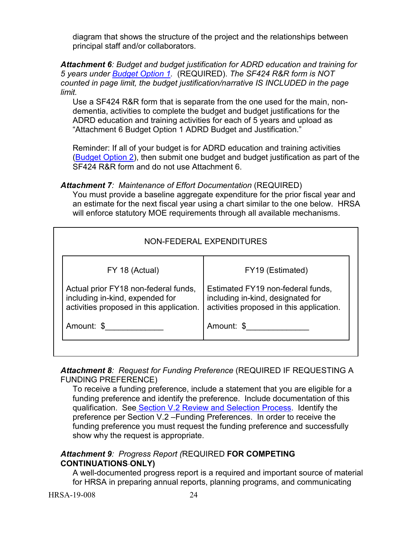diagram that shows the structure of the project and the relationships between principal staff and/or collaborators.

<span id="page-28-0"></span>*Attachment 6: Budget and budget justification for ADRD education and training for 5 years under [Budget Option 1.](#page-25-1)* (REQUIRED). *The SF424 R&R form is NOT counted in page limit, the budget justification/narrative IS INCLUDED in the page limit.* 

Use a SF424 R&R form that is separate from the one used for the main, nondementia, activities to complete the budget and budget justifications for the ADRD education and training activities for each of 5 years and upload as "Attachment 6 Budget Option 1 ADRD Budget and Justification."

Reminder: If all of your budget is for ADRD education and training activities [\(Budget Option 2\)](#page-25-2), then submit one budget and budget justification as part of the SF424 R&R form and do not use Attachment 6.

## *Attachment 7: Maintenance of Effort Documentation* (REQUIRED)

You must provide a baseline aggregate expenditure for the prior fiscal year and an estimate for the next fiscal year using a chart similar to the one below. HRSA will enforce statutory MOE requirements through all available mechanisms.

| NON-FEDERAL EXPENDITURES                                                                                            |                                                                                                                    |  |  |  |
|---------------------------------------------------------------------------------------------------------------------|--------------------------------------------------------------------------------------------------------------------|--|--|--|
| FY 18 (Actual)                                                                                                      | FY19 (Estimated)                                                                                                   |  |  |  |
| Actual prior FY18 non-federal funds,<br>including in-kind, expended for<br>activities proposed in this application. | Estimated FY19 non-federal funds,<br>including in-kind, designated for<br>activities proposed in this application. |  |  |  |
| Amount: \$                                                                                                          | Amount: \$                                                                                                         |  |  |  |

*Attachment 8: Request for Funding Preference* (REQUIRED IF REQUESTING A FUNDING PREFERENCE)

To receive a funding preference, include a statement that you are eligible for a funding preference and identify the preference. Include documentation of this qualification. See [Section V.2 Review and Selection Process.](#page-36-2) Identify the preference per Section V.2 –Funding Preferences. In order to receive the funding preference you must request the funding preference and successfully show why the request is appropriate.

## *Attachment 9: Progress Report (*REQUIRED **FOR COMPETING CONTINUATIONS ONLY)**

A well-documented progress report is a required and important source of material for HRSA in preparing annual reports, planning programs, and communicating

HRSA-19-008 24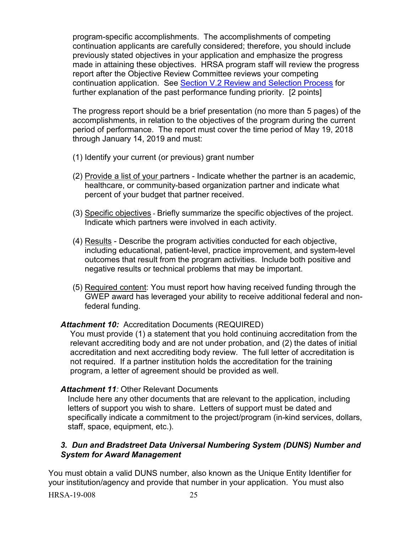program-specific accomplishments. The accomplishments of competing continuation applicants are carefully considered; therefore, you should include previously stated objectives in your application and emphasize the progress made in attaining these objectives. HRSA program staff will review the progress report after the Objective Review Committee reviews your competing continuation application. See [Section V.2 Review and Selection Process](#page-36-2) for further explanation of the past performance funding priority. [2 points]

The progress report should be a brief presentation (no more than 5 pages) of the accomplishments, in relation to the objectives of the program during the current period of performance. The report must cover the time period of May 19, 2018 through January 14, 2019 and must:

- (1) Identify your current (or previous) grant number
- (2) Provide a list of your partners Indicate whether the partner is an academic, healthcare, or community-based organization partner and indicate what percent of your budget that partner received.
- (3) Specific objectives Briefly summarize the specific objectives of the project. Indicate which partners were involved in each activity.
- (4) Results Describe the program activities conducted for each objective, including educational, patient-level, practice improvement, and system-level outcomes that result from the program activities. Include both positive and negative results or technical problems that may be important.
- (5) Required content: You must report how having received funding through the GWEP award has leveraged your ability to receive additional federal and nonfederal funding.

# *Attachment 10:* Accreditation Documents (REQUIRED)

You must provide (1) a statement that you hold continuing accreditation from the relevant accrediting body and are not under probation, and (2) the dates of initial accreditation and next accrediting body review. The full letter of accreditation is not required. If a partner institution holds the accreditation for the training program, a letter of agreement should be provided as well.

#### Attachment 11<sup>*:*</sup> Other Relevant Documents

Include here any other documents that are relevant to the application, including letters of support you wish to share. Letters of support must be dated and specifically indicate a commitment to the project/program (in-kind services, dollars, staff, space, equipment, etc.).

## <span id="page-29-0"></span>*3. Dun and Bradstreet Data Universal Numbering System (DUNS) Number and System for Award Management*

You must obtain a valid DUNS number, also known as the Unique Entity Identifier for your institution/agency and provide that number in your application. You must also

HRSA-19-008 25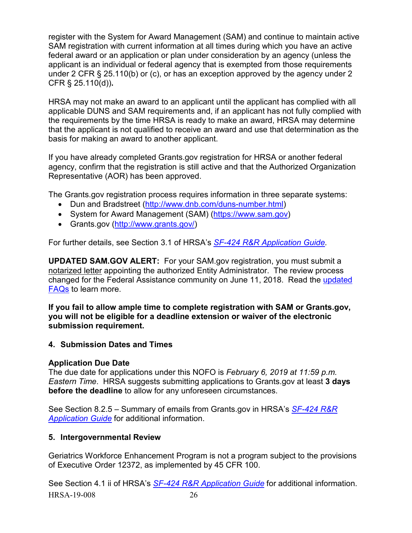register with the System for Award Management (SAM) and continue to maintain active SAM registration with current information at all times during which you have an active federal award or an application or plan under consideration by an agency (unless the applicant is an individual or federal agency that is exempted from those requirements under 2 CFR § 25.110(b) or (c), or has an exception approved by the agency under 2 CFR § 25.110(d))**.**

HRSA may not make an award to an applicant until the applicant has complied with all applicable DUNS and SAM requirements and, if an applicant has not fully complied with the requirements by the time HRSA is ready to make an award, HRSA may determine that the applicant is not qualified to receive an award and use that determination as the basis for making an award to another applicant.

If you have already completed Grants.gov registration for HRSA or another federal agency, confirm that the registration is still active and that the Authorized Organization Representative (AOR) has been approved.

The Grants.gov registration process requires information in three separate systems:

- Dun and Bradstreet [\(http://www.dnb.com/duns-number.html\)](http://www.dnb.com/duns-number.html)
- System for Award Management (SAM) [\(https://www.sam.gov\)](https://www.sam.gov/)
- Grants.gov [\(http://www.grants.gov/\)](http://www.grants.gov/)

For further details, see Section 3.1 of HRSA's *SF-424 R&R [Application Guide.](http://www.hrsa.gov/grants/apply/applicationguide/sf424rrguidev2.pdf)*

**UPDATED SAM.GOV ALERT:** For your SAM.gov registration, you must submit a notarized letter appointing the authorized Entity Administrator. The review process changed for the Federal Assistance community on June 11, 2018. Read the [updated](https://www.gsa.gov/about-us/organization/federal-acquisition-service/office-of-systems-management/integrated-award-environment-iae/sam-update)  [FAQs](https://www.gsa.gov/about-us/organization/federal-acquisition-service/office-of-systems-management/integrated-award-environment-iae/sam-update) to learn more.

**If you fail to allow ample time to complete registration with SAM or Grants.gov, you will not be eligible for a deadline extension or waiver of the electronic submission requirement.**

# <span id="page-30-0"></span>**4. Submission Dates and Times**

# **Application Due Date**

The due date for applications under this NOFO is *February 6, 2019 at 11:59 p.m. Eastern Time*. HRSA suggests submitting applications to Grants.gov at least **3 days before the deadline** to allow for any unforeseen circumstances.

See Section 8.2.5 – Summary of emails from Grants.gov in HRSA's *[SF-424](http://www.hrsa.gov/grants/apply/applicationguide/sf424rrguidev2.pdf) R&R [Application Guide](http://www.hrsa.gov/grants/apply/applicationguide/sf424rrguidev2.pdf)* for additional information.

# <span id="page-30-1"></span>**5. Intergovernmental Review**

Geriatrics Workforce Enhancement Program is not a program subject to the provisions of Executive Order 12372, as implemented by 45 CFR 100.

HRSA-19-008 26 See Section 4.1 ii of HRSA's *SF-424 R&R [Application Guide](http://www.hrsa.gov/grants/apply/applicationguide/sf424rrguidev2.pdf)* for additional information.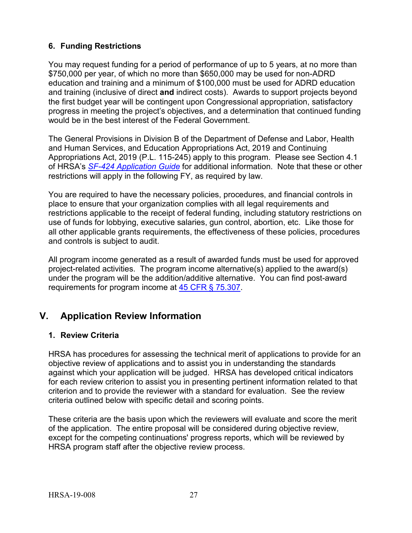# <span id="page-31-0"></span>**6. Funding Restrictions**

You may request funding for a period of performance of up to 5 years, at no more than \$750,000 per year, of which no more than \$650,000 may be used for non-ADRD education and training and a minimum of \$100,000 must be used for ADRD education and training (inclusive of direct **and** indirect costs). Awards to support projects beyond the first budget year will be contingent upon Congressional appropriation, satisfactory progress in meeting the project's objectives, and a determination that continued funding would be in the best interest of the Federal Government.

The General Provisions in Division B of the Department of Defense and Labor, Health and Human Services, and Education Appropriations Act, 2019 and Continuing Appropriations Act, 2019 (P.L. 115-245) apply to this program. Please see Section 4.1 of HRSA's *SF-424 [Application Guide](http://www.hrsa.gov/grants/apply/applicationguide/sf424guide.pdf)* for additional information. Note that these or other restrictions will apply in the following FY, as required by law.

You are required to have the necessary policies, procedures, and financial controls in place to ensure that your organization complies with all legal requirements and restrictions applicable to the receipt of federal funding, including statutory restrictions on use of funds for lobbying, executive salaries, gun control, abortion, etc. Like those for all other applicable grants requirements, the effectiveness of these policies, procedures and controls is subject to audit.

All program income generated as a result of awarded funds must be used for approved project-related activities. The program income alternative(s) applied to the award(s) under the program will be the addition/additive alternative. You can find post-award requirements for program income at [45 CFR § 75.307.](http://www.ecfr.gov/cgi-bin/retrieveECFR?gp=1&SID=4d52364ec83fab994c665943dadf9cf7&ty=HTML&h=L&r=PART&n=pt45.1.75#se45.1.75_1307)

# <span id="page-31-1"></span>**V. Application Review Information**

# <span id="page-31-2"></span>**1. Review Criteria**

HRSA has procedures for assessing the technical merit of applications to provide for an objective review of applications and to assist you in understanding the standards against which your application will be judged. HRSA has developed critical indicators for each review criterion to assist you in presenting pertinent information related to that criterion and to provide the reviewer with a standard for evaluation. See the review criteria outlined below with specific detail and scoring points.

These criteria are the basis upon which the reviewers will evaluate and score the merit of the application. The entire proposal will be considered during objective review, except for the competing continuations' progress reports, which will be reviewed by HRSA program staff after the objective review process.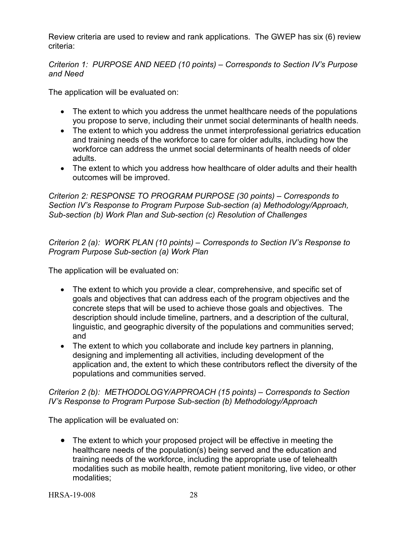Review criteria are used to review and rank applications. The GWEP has six (6) review criteria:

*Criterion 1: PURPOSE AND NEED (10 points) – Corresponds to Section IV's Purpose and Need* 

The application will be evaluated on:

- The extent to which you address the unmet healthcare needs of the populations you propose to serve, including their unmet social determinants of health needs.
- The extent to which you address the unmet interprofessional geriatrics education and training needs of the workforce to care for older adults, including how the workforce can address the unmet social determinants of health needs of older adults.
- The extent to which you address how healthcare of older adults and their health outcomes will be improved.

*Criterion 2: RESPONSE TO PROGRAM PURPOSE (30 points) – Corresponds to Section IV's Response to Program Purpose Sub-section (a) Methodology/Approach, Sub-section (b) Work Plan and Sub-section (c) Resolution of Challenges*

*Criterion 2 (a): WORK PLAN (10 points) – Corresponds to Section IV's Response to Program Purpose Sub-section (a) Work Plan*

The application will be evaluated on:

- The extent to which you provide a clear, comprehensive, and specific set of goals and objectives that can address each of the program objectives and the concrete steps that will be used to achieve those goals and objectives. The description should include timeline, partners, and a description of the cultural, linguistic, and geographic diversity of the populations and communities served; and
- The extent to which you collaborate and include key partners in planning, designing and implementing all activities, including development of the application and, the extent to which these contributors reflect the diversity of the populations and communities served.

## *Criterion 2 (b): METHODOLOGY/APPROACH (15 points) – Corresponds to Section IV's Response to Program Purpose Sub-section (b) Methodology/Approach*

The application will be evaluated on:

• The extent to which your proposed project will be effective in meeting the healthcare needs of the population(s) being served and the education and training needs of the workforce, including the appropriate use of telehealth modalities such as mobile health, remote patient monitoring, live video, or other modalities;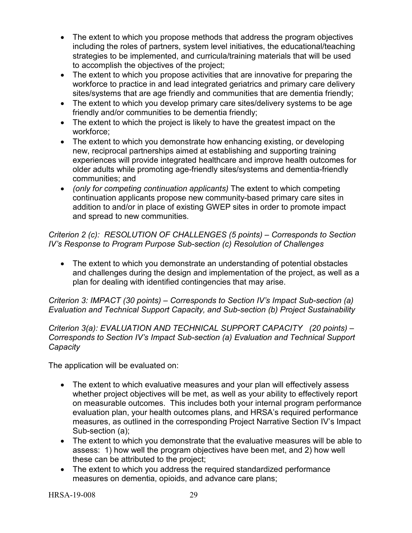- The extent to which you propose methods that address the program objectives including the roles of partners, system level initiatives, the educational/teaching strategies to be implemented, and curricula/training materials that will be used to accomplish the objectives of the project;
- The extent to which you propose activities that are innovative for preparing the workforce to practice in and lead integrated geriatrics and primary care delivery sites/systems that are age friendly and communities that are dementia friendly;
- The extent to which you develop primary care sites/delivery systems to be age friendly and/or communities to be dementia friendly;
- The extent to which the project is likely to have the greatest impact on the workforce;
- The extent to which you demonstrate how enhancing existing, or developing new, reciprocal partnerships aimed at establishing and supporting training experiences will provide integrated healthcare and improve health outcomes for older adults while promoting age-friendly sites/systems and dementia-friendly communities; and
- *(only for competing continuation applicants)* The extent to which competing continuation applicants propose new community-based primary care sites in addition to and/or in place of existing GWEP sites in order to promote impact and spread to new communities.

*Criterion 2 (c): RESOLUTION OF CHALLENGES (5 points) – Corresponds to Section IV's Response to Program Purpose Sub-section (c) Resolution of Challenges*

• The extent to which you demonstrate an understanding of potential obstacles and challenges during the design and implementation of the project, as well as a plan for dealing with identified contingencies that may arise.

*Criterion 3: IMPACT (30 points) – Corresponds to Section IV's Impact Sub-section (a) Evaluation and Technical Support Capacity, and Sub-section (b) Project Sustainability*

*Criterion 3(a): EVALUATION AND TECHNICAL SUPPORT CAPACITY (20 points) – Corresponds to Section IV's Impact Sub-section (a) Evaluation and Technical Support Capacity* 

The application will be evaluated on:

- The extent to which evaluative measures and your plan will effectively assess whether project objectives will be met, as well as your ability to effectively report on measurable outcomes. This includes both your internal program performance evaluation plan, your health outcomes plans, and HRSA's required performance measures, as outlined in the corresponding Project Narrative Section IV's Impact Sub-section (a);
- The extent to which you demonstrate that the evaluative measures will be able to assess: 1) how well the program objectives have been met, and 2) how well these can be attributed to the project;
- The extent to which you address the required standardized performance measures on dementia, opioids, and advance care plans;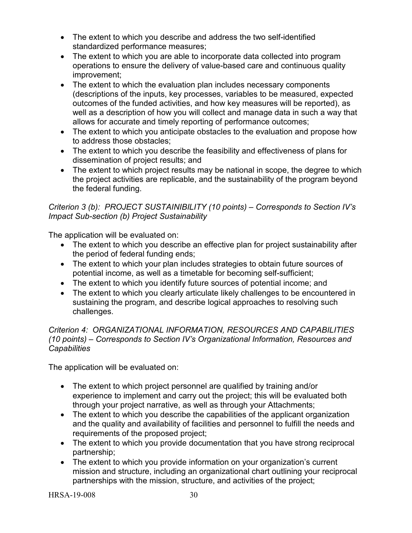- The extent to which you describe and address the two self-identified standardized performance measures;
- The extent to which you are able to incorporate data collected into program operations to ensure the delivery of value-based care and continuous quality improvement;
- The extent to which the evaluation plan includes necessary components (descriptions of the inputs, key processes, variables to be measured, expected outcomes of the funded activities, and how key measures will be reported), as well as a description of how you will collect and manage data in such a way that allows for accurate and timely reporting of performance outcomes;
- The extent to which you anticipate obstacles to the evaluation and propose how to address those obstacles;
- The extent to which you describe the feasibility and effectiveness of plans for dissemination of project results; and
- The extent to which project results may be national in scope, the degree to which the project activities are replicable, and the sustainability of the program beyond the federal funding.

# *Criterion 3 (b): PROJECT SUSTAINIBILITY (10 points) – Corresponds to Section IV's Impact Sub-section (b) Project Sustainability*

The application will be evaluated on:

- The extent to which you describe an effective plan for project sustainability after the period of federal funding ends;
- The extent to which your plan includes strategies to obtain future sources of potential income, as well as a timetable for becoming self-sufficient;
- The extent to which you identify future sources of potential income; and
- The extent to which you clearly articulate likely challenges to be encountered in sustaining the program, and describe logical approaches to resolving such challenges.

# *Criterion 4: ORGANIZATIONAL INFORMATION, RESOURCES AND CAPABILITIES (10 points) – Corresponds to Section IV's Organizational Information, Resources and Capabilities*

The application will be evaluated on:

- The extent to which project personnel are qualified by training and/or experience to implement and carry out the project; this will be evaluated both through your project narrative, as well as through your Attachments;
- The extent to which you describe the capabilities of the applicant organization and the quality and availability of facilities and personnel to fulfill the needs and requirements of the proposed project;
- The extent to which you provide documentation that you have strong reciprocal partnership;
- The extent to which you provide information on your organization's current mission and structure, including an organizational chart outlining your reciprocal partnerships with the mission, structure, and activities of the project;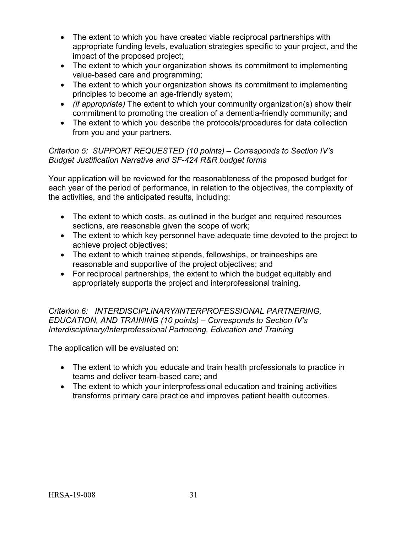- The extent to which you have created viable reciprocal partnerships with appropriate funding levels, evaluation strategies specific to your project, and the impact of the proposed project;
- The extent to which your organization shows its commitment to implementing value-based care and programming;
- The extent to which your organization shows its commitment to implementing principles to become an age-friendly system;
- *(if appropriate)* The extent to which your community organization(s) show their commitment to promoting the creation of a dementia-friendly community; and
- The extent to which you describe the protocols/procedures for data collection from you and your partners.

# *Criterion 5: SUPPORT REQUESTED (10 points) – Corresponds to Section IV's Budget Justification Narrative and SF-424 R&R budget forms*

Your application will be reviewed for the reasonableness of the proposed budget for each year of the period of performance, in relation to the objectives, the complexity of the activities, and the anticipated results, including:

- The extent to which costs, as outlined in the budget and required resources sections, are reasonable given the scope of work;
- The extent to which key personnel have adequate time devoted to the project to achieve project objectives;
- The extent to which trainee stipends, fellowships, or traineeships are reasonable and supportive of the project objectives; and
- For reciprocal partnerships, the extent to which the budget equitably and appropriately supports the project and interprofessional training.

*Criterion 6: INTERDISCIPLINARY/INTERPROFESSIONAL PARTNERING, EDUCATION, AND TRAINING (10 points) – Corresponds to Section IV's Interdisciplinary/Interprofessional Partnering, Education and Training*

The application will be evaluated on:

- The extent to which you educate and train health professionals to practice in teams and deliver team-based care; and
- The extent to which your interprofessional education and training activities transforms primary care practice and improves patient health outcomes.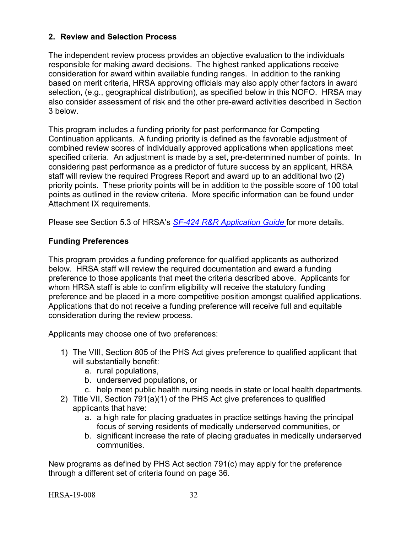## <span id="page-36-2"></span><span id="page-36-0"></span>**2. Review and Selection Process**

The independent review process provides an objective evaluation to the individuals responsible for making award decisions. The highest ranked applications receive consideration for award within available funding ranges. In addition to the ranking based on merit criteria, HRSA approving officials may also apply other factors in award selection, (e.g., geographical distribution), as specified below in this NOFO. HRSA may also consider assessment of risk and the other pre-award activities described in Section 3 below.

This program includes a funding priority for past performance for Competing Continuation applicants. A funding priority is defined as the favorable adjustment of combined review scores of individually approved applications when applications meet specified criteria. An adjustment is made by a set, pre-determined number of points. In considering past performance as a predictor of future success by an applicant, HRSA staff will review the required Progress Report and award up to an additional two (2) priority points. These priority points will be in addition to the possible score of 100 total points as outlined in the review criteria. More specific information can be found under Attachment IX requirements.

Please see Section 5.3 of HRSA's *SF-424 [R&R Application Guide](http://www.hrsa.gov/grants/apply/applicationguide/sf424rrguidev2.pdf)* for more details.

# <span id="page-36-1"></span>**Funding Preferences**

This program provides a funding preference for qualified applicants as authorized below. HRSA staff will review the required documentation and award a funding preference to those applicants that meet the criteria described above. Applicants for whom HRSA staff is able to confirm eligibility will receive the statutory funding preference and be placed in a more competitive position amongst qualified applications. Applications that do not receive a funding preference will receive full and equitable consideration during the review process.

Applicants may choose one of two preferences:

- 1) The VIII, Section 805 of the PHS Act gives preference to qualified applicant that will substantially benefit:
	- a. rural populations,
	- b. underserved populations, or
	- c. help meet public health nursing needs in state or local health departments.
- 2) Title VII, Section 791(a)(1) of the PHS Act give preferences to qualified applicants that have:
	- a. a high rate for placing graduates in practice settings having the principal focus of serving residents of medically underserved communities, or
	- b. significant increase the rate of placing graduates in medically underserved communities.

New programs as defined by PHS Act section 791(c) may apply for the preference through a different set of criteria found on page 36.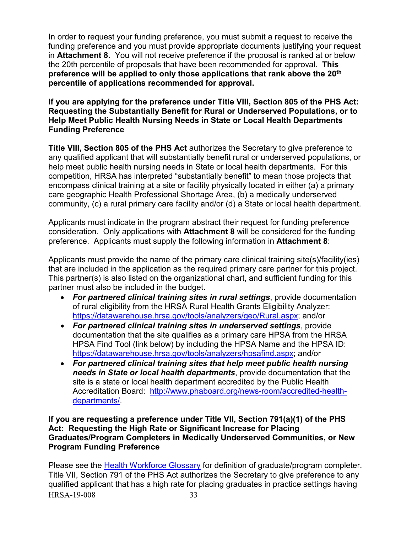In order to request your funding preference, you must submit a request to receive the funding preference and you must provide appropriate documents justifying your request in **Attachment 8**. You will not receive preference if the proposal is ranked at or below the 20th percentile of proposals that have been recommended for approval. **This preference will be applied to only those applications that rank above the 20th percentile of applications recommended for approval.** 

**If you are applying for the preference under Title VIII, Section 805 of the PHS Act: Requesting the Substantially Benefit for Rural or Underserved Populations, or to Help Meet Public Health Nursing Needs in State or Local Health Departments Funding Preference**

**Title VIII, Section 805 of the PHS Act** authorizes the Secretary to give preference to any qualified applicant that will substantially benefit rural or underserved populations, or help meet public health nursing needs in State or local health departments. For this competition, HRSA has interpreted "substantially benefit" to mean those projects that encompass clinical training at a site or facility physically located in either (a) a primary care geographic Health Professional Shortage Area, (b) a medically underserved community, (c) a rural primary care facility and/or (d) a State or local health department.

Applicants must indicate in the program abstract their request for funding preference consideration. Only applications with **Attachment 8** will be considered for the funding preference. Applicants must supply the following information in **Attachment 8**:

Applicants must provide the name of the primary care clinical training site(s)/facility(ies) that are included in the application as the required primary care partner for this project. This partner(s) is also listed on the organizational chart, and sufficient funding for this partner must also be included in the budget.

- *For partnered clinical training sites in rural settings*, provide documentation of rural eligibility from the HRSA Rural Health Grants Eligibility Analyzer: [https://datawarehouse.hrsa.gov/tools/analyzers/geo/Rural.aspx;](https://datawarehouse.hrsa.gov/tools/analyzers/geo/Rural.aspx) and/or
- *For partnered clinical training sites in underserved settings*, provide documentation that the site qualifies as a primary care HPSA from the HRSA HPSA Find Tool (link below) by including the HPSA Name and the HPSA ID: [https://datawarehouse.hrsa.gov/tools/analyzers/hpsafind.aspx;](https://datawarehouse.hrsa.gov/tools/analyzers/hpsafind.aspx) and/or
- *For partnered clinical training sites that help meet public health nursing needs in State or local health departments*, provide documentation that the site is a state or local health department accredited by the Public Health Accreditation Board: [http://www.phaboard.org/news-room/accredited-health](http://www.phaboard.org/news-room/accredited-health-departments/)[departments/.](http://www.phaboard.org/news-room/accredited-health-departments/)

#### **If you are requesting a preference under Title VII, Section 791(a)(1) of the PHS Act: Requesting the High Rate or Significant Increase for Placing Graduates/Program Completers in Medically Underserved Communities, or New Program Funding Preference**

HRSA-19-008 33 Please see the **Health Workforce Glossary** for definition of graduate/program completer. Title VII, Section 791 of the PHS Act authorizes the Secretary to give preference to any qualified applicant that has a high rate for placing graduates in practice settings having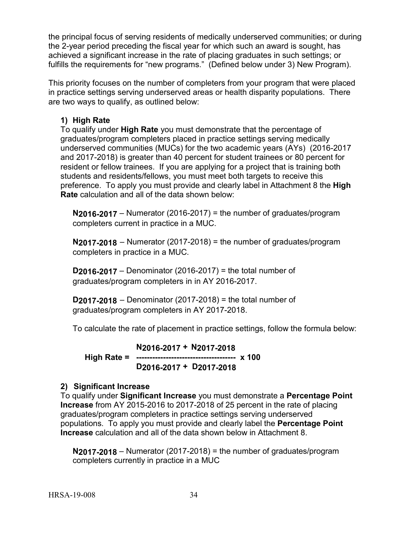the principal focus of serving residents of medically underserved communities; or during the 2-year period preceding the fiscal year for which such an award is sought, has achieved a significant increase in the rate of placing graduates in such settings; or fulfills the requirements for "new programs." (Defined below under 3) New Program).

This priority focuses on the number of completers from your program that were placed in practice settings serving underserved areas or health disparity populations. There are two ways to qualify, as outlined below:

# **1) High Rate**

To qualify under **High Rate** you must demonstrate that the percentage of graduates/program completers placed in practice settings serving medically underserved communities (MUCs) for the two academic years (AYs) (2016-2017 and 2017-2018) is greater than 40 percent for student trainees or 80 percent for resident or fellow trainees. If you are applying for a project that is training both students and residents/fellows, you must meet both targets to receive this preference. To apply you must provide and clearly label in Attachment 8 the **High Rate** calculation and all of the data shown below:

**N2016-2017** – Numerator (2016-2017) = the number of graduates/program completers current in practice in a MUC.

**N2017-2018** – Numerator (2017-2018) = the number of graduates/program completers in practice in a MUC.

**D2016-2017** – Denominator (2016-2017) = the total number of graduates/program completers in in AY 2016-2017.

**D2017-2018** – Denominator (2017-2018) = the total number of graduates/program completers in AY 2017-2018.

To calculate the rate of placement in practice settings, follow the formula below:

**N2016-2017 + N2017-2018 High Rate = ------------------------------------- x 100 D2016-2017 + D2017-2018**

# **2) Significant Increase**

To qualify under **Significant Increase** you must demonstrate a **Percentage Point Increase** from AY 2015-2016 to 2017-2018 of 25 percent in the rate of placing graduates/program completers in practice settings serving underserved populations.To apply you must provide and clearly label the **Percentage Point Increase** calculation and all of the data shown below in Attachment 8.

**N2017-2018** – Numerator (2017-2018) = the number of graduates/program completers currently in practice in a MUC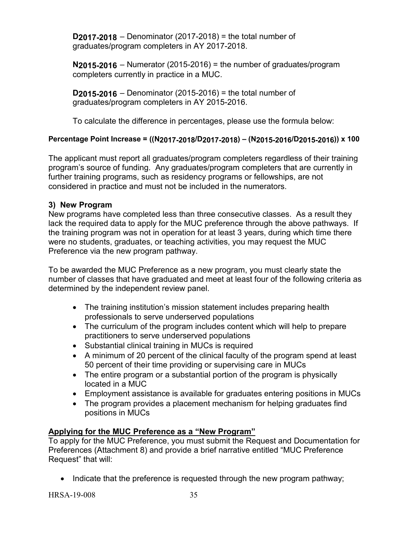**D2017-2018** – Denominator (2017-2018) = the total number of graduates/program completers in AY 2017-2018.

**N2015-2016** – Numerator (2015-2016) = the number of graduates/program completers currently in practice in a MUC.

**D2015-2016** – Denominator (2015-2016) = the total number of graduates/program completers in AY 2015-2016.

To calculate the difference in percentages, please use the formula below:

# **Percentage Point Increase = ((N2017-2018/D2017-2018) – (N2015-2016/D2015-2016)) x 100**

The applicant must report all graduates/program completers regardless of their training program's source of funding. Any graduates/program completers that are currently in further training programs, such as residency programs or fellowships, are not considered in practice and must not be included in the numerators.

# **3) New Program**

New programs have completed less than three consecutive classes. As a result they lack the required data to apply for the MUC preference through the above pathways. If the training program was not in operation for at least 3 years, during which time there were no students, graduates, or teaching activities, you may request the MUC Preference via the new program pathway.

To be awarded the MUC Preference as a new program, you must clearly state the number of classes that have graduated and meet at least four of the following criteria as determined by the independent review panel.

- The training institution's mission statement includes preparing health professionals to serve underserved populations
- The curriculum of the program includes content which will help to prepare practitioners to serve underserved populations
- Substantial clinical training in MUCs is required
- A minimum of 20 percent of the clinical faculty of the program spend at least 50 percent of their time providing or supervising care in MUCs
- The entire program or a substantial portion of the program is physically located in a MUC
- Employment assistance is available for graduates entering positions in MUCs
- The program provides a placement mechanism for helping graduates find positions in MUCs

# **Applying for the MUC Preference as a "New Program"**

To apply for the MUC Preference, you must submit the Request and Documentation for Preferences (Attachment 8) and provide a brief narrative entitled "MUC Preference Request" that will:

• Indicate that the preference is requested through the new program pathway;

HRSA-19-008 35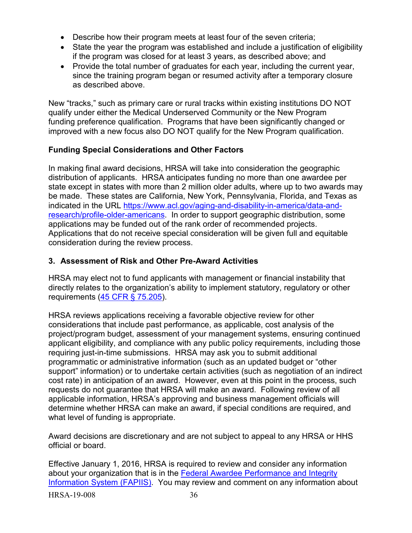- Describe how their program meets at least four of the seven criteria;
- State the year the program was established and include a justification of eligibility if the program was closed for at least 3 years, as described above; and
- Provide the total number of graduates for each year, including the current year, since the training program began or resumed activity after a temporary closure as described above.

New "tracks," such as primary care or rural tracks within existing institutions DO NOT qualify under either the Medical Underserved Community or the New Program funding preference qualification. Programs that have been significantly changed or improved with a new focus also DO NOT qualify for the New Program qualification.

# **Funding Special Considerations and Other Factors**

In making final award decisions, HRSA will take into consideration the geographic distribution of applicants. HRSA anticipates funding no more than one awardee per state except in states with more than 2 million older adults, where up to two awards may be made. These states are California, New York, Pennsylvania, Florida, and Texas as indicated in the URL [https://www.acl.gov/aging-and-disability-in-america/data-and](https://www.acl.gov/aging-and-disability-in-america/data-and-research/profile-older-americans)[research/profile-older-americans.](https://www.acl.gov/aging-and-disability-in-america/data-and-research/profile-older-americans) In order to support geographic distribution, some applications may be funded out of the rank order of recommended projects. Applications that do not receive special consideration will be given full and equitable consideration during the review process.

## <span id="page-40-0"></span>**3. Assessment of Risk and Other Pre-Award Activities**

HRSA may elect not to fund applicants with management or financial instability that directly relates to the organization's ability to implement statutory, regulatory or other requirements [\(45 CFR § 75.205\)](http://www.ecfr.gov/cgi-bin/retrieveECFR?gp=1&SID=4d52364ec83fab994c665943dadf9cf7&ty=HTML&h=L&r=PART&n=pt45.1.75#se45.1.75_1205).

HRSA reviews applications receiving a favorable objective review for other considerations that include past performance, as applicable, cost analysis of the project/program budget, assessment of your management systems, ensuring continued applicant eligibility, and compliance with any public policy requirements, including those requiring just-in-time submissions. HRSA may ask you to submit additional programmatic or administrative information (such as an updated budget or "other support" information) or to undertake certain activities (such as negotiation of an indirect cost rate) in anticipation of an award. However, even at this point in the process, such requests do not guarantee that HRSA will make an award. Following review of all applicable information, HRSA's approving and business management officials will determine whether HRSA can make an award, if special conditions are required, and what level of funding is appropriate.

Award decisions are discretionary and are not subject to appeal to any HRSA or HHS official or board.

Effective January 1, 2016, HRSA is required to review and consider any information about your organization that is in the **Federal Awardee Performance and Integrity** [Information System \(FAPIIS\).](https://www.fapiis.gov/) You may review and comment on any information about

HRSA-19-008 36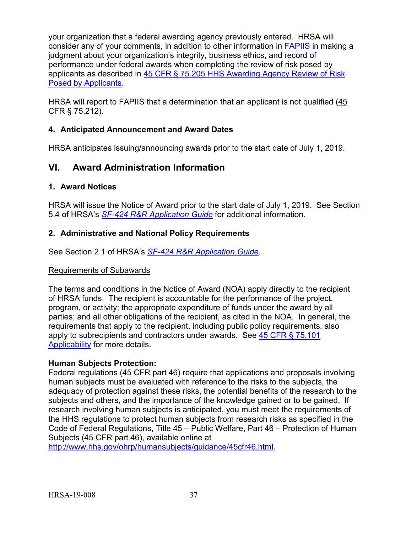your organization that a federal awarding agency previously entered. HRSA will consider any of your comments, in addition to other information in [FAPIIS](https://www.fapiis.gov/) in making a judgment about your organization's integrity, business ethics, and record of performance under federal awards when completing the review of risk posed by applicants as described in [45 CFR § 75.205 HHS Awarding Agency Review of Risk](http://www.ecfr.gov/cgi-bin/text-idx?node=pt45.1.75)  [Posed by Applicants.](http://www.ecfr.gov/cgi-bin/text-idx?node=pt45.1.75)

HRSA will report to FAPIIS that a determination that an applicant is not qualified [\(45](http://www.ecfr.gov/cgi-bin/text-idx?node=pt45.1.75)  [CFR § 75.212\)](http://www.ecfr.gov/cgi-bin/text-idx?node=pt45.1.75).

# <span id="page-41-0"></span>**4. Anticipated Announcement and Award Dates**

HRSA anticipates issuing/announcing awards prior to the start date of July 1, 2019.

# <span id="page-41-1"></span>**VI. Award Administration Information**

## <span id="page-41-2"></span>**1. Award Notices**

HRSA will issue the Notice of Award prior to the start date of July 1, 2019. See Section 5.4 of HRSA's *SF-424 [R&R Application Guide](http://www.hrsa.gov/grants/apply/applicationguide/sf424rrguidev2.pdf)* for additional information.

## <span id="page-41-3"></span>**2. Administrative and National Policy Requirements**

See Section 2.1 of HRSA's *SF-424 [R&R Application Guide](http://www.hrsa.gov/grants/apply/applicationguide/sf424rrguidev2.pdf)*.

#### Requirements of Subawards

The terms and conditions in the Notice of Award (NOA) apply directly to the recipient of HRSA funds. The recipient is accountable for the performance of the project, program, or activity; the appropriate expenditure of funds under the award by all parties; and all other obligations of the recipient, as cited in the NOA. In general, the requirements that apply to the recipient, including public policy requirements, also apply to subrecipients and contractors under awards. See [45 CFR § 75.101](https://www.ecfr.gov/cgi-bin/retrieveECFR?gp=1&SID=4d52364ec83fab994c665943dadf9cf7&ty=HTML&h=L&r=PART&n=pt45.1.75)  [Applicability](https://www.ecfr.gov/cgi-bin/retrieveECFR?gp=1&SID=4d52364ec83fab994c665943dadf9cf7&ty=HTML&h=L&r=PART&n=pt45.1.75) for more details.

#### **Human Subjects Protection:**

Federal regulations (45 CFR part 46) require that applications and proposals involving human subjects must be evaluated with reference to the risks to the subjects, the adequacy of protection against these risks, the potential benefits of the research to the subjects and others, and the importance of the knowledge gained or to be gained. If research involving human subjects is anticipated, you must meet the requirements of the HHS regulations to protect human subjects from research risks as specified in the Code of Federal Regulations, Title 45 – Public Welfare, Part 46 – Protection of Human Subjects (45 CFR part 46), available online at

[http://www.hhs.gov/ohrp/humansubjects/guidance/45cfr46.html.](http://www.hhs.gov/ohrp/humansubjects/guidance/45cfr46.html)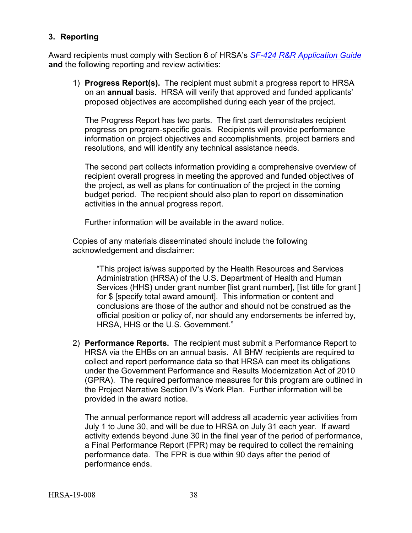## <span id="page-42-0"></span>**3. Reporting**

Award recipients must comply with Section 6 of HRSA's *SF-424 [R&R Application Guide](http://www.hrsa.gov/grants/apply/applicationguide/sf424rrguidev2.pdf)* **and** the following reporting and review activities:

1) **Progress Report(s).** The recipient must submit a progress report to HRSA on an **annual** basis. HRSA will verify that approved and funded applicants' proposed objectives are accomplished during each year of the project.

The Progress Report has two parts. The first part demonstrates recipient progress on program-specific goals. Recipients will provide performance information on project objectives and accomplishments, project barriers and resolutions, and will identify any technical assistance needs.

The second part collects information providing a comprehensive overview of recipient overall progress in meeting the approved and funded objectives of the project, as well as plans for continuation of the project in the coming budget period. The recipient should also plan to report on dissemination activities in the annual progress report.

Further information will be available in the award notice.

Copies of any materials disseminated should include the following acknowledgement and disclaimer:

"This project is/was supported by the Health Resources and Services Administration (HRSA) of the U.S. Department of Health and Human Services (HHS) under grant number [list grant number], [list title for grant ] for \$ [specify total award amount]. This information or content and conclusions are those of the author and should not be construed as the official position or policy of, nor should any endorsements be inferred by, HRSA, HHS or the U.S. Government."

2) **Performance Reports.** The recipient must submit a Performance Report to HRSA via the EHBs on an annual basis. All BHW recipients are required to collect and report performance data so that HRSA can meet its obligations under the Government Performance and Results Modernization Act of 2010 (GPRA). The required performance measures for this program are outlined in the Project Narrative Section IV's Work Plan. Further information will be provided in the award notice.

The annual performance report will address all academic year activities from July 1 to June 30, and will be due to HRSA on July 31 each year. If award activity extends beyond June 30 in the final year of the period of performance, a Final Performance Report (FPR) may be required to collect the remaining performance data. The FPR is due within 90 days after the period of performance ends.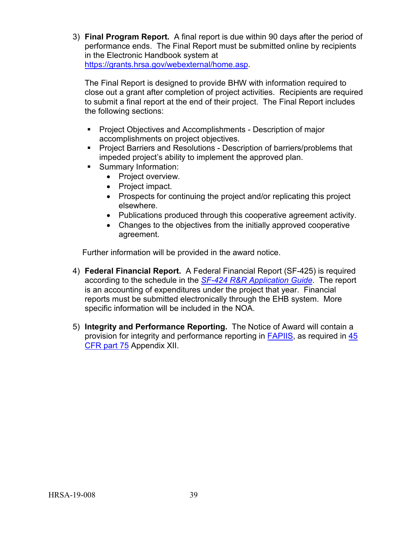3) **Final Program Report.** A final report is due within 90 days after the period of performance ends. The Final Report must be submitted online by recipients in the Electronic Handbook system at [https://grants.hrsa.gov/webexternal/home.asp.](https://grants.hrsa.gov/webexternal/home.asp)

The Final Report is designed to provide BHW with information required to close out a grant after completion of project activities. Recipients are required to submit a final report at the end of their project. The Final Report includes the following sections:

- **Project Objectives and Accomplishments Description of major** accomplishments on project objectives.
- **Project Barriers and Resolutions Description of barriers/problems that** impeded project's ability to implement the approved plan.
- **Summary Information:** 
	- Project overview.
	- Project impact.
	- Prospects for continuing the project and/or replicating this project elsewhere.
	- Publications produced through this cooperative agreement activity.
	- Changes to the objectives from the initially approved cooperative agreement.

Further information will be provided in the award notice.

- 4) **Federal Financial Report.** A Federal Financial Report (SF-425) is required according to the schedule in the *SF-424 [R&R Application Guide](http://www.hrsa.gov/grants/apply/applicationguide/sf424rrguidev2.pdf)*. The report is an accounting of expenditures under the project that year. Financial reports must be submitted electronically through the EHB system. More specific information will be included in the NOA.
- 5) **Integrity and Performance Reporting.** The Notice of Award will contain a provision for integrity and performance reporting in [FAPIIS,](https://www.fapiis.gov/) as required in [45](http://www.ecfr.gov/cgi-bin/retrieveECFR?gp=1&SID=4d52364ec83fab994c665943dadf9cf7&ty=HTML&h=L&r=PART&n=pt45.1.75%20-%20ap45.1.75_1521.xii)  [CFR part 75](http://www.ecfr.gov/cgi-bin/retrieveECFR?gp=1&SID=4d52364ec83fab994c665943dadf9cf7&ty=HTML&h=L&r=PART&n=pt45.1.75%20-%20ap45.1.75_1521.xii) Appendix XII.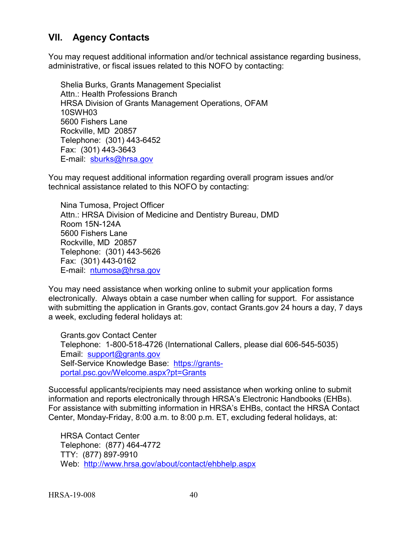# <span id="page-44-0"></span>**VII. Agency Contacts**

You may request additional information and/or technical assistance regarding business, administrative, or fiscal issues related to this NOFO by contacting:

Shelia Burks, Grants Management Specialist Attn.: Health Professions Branch HRSA Division of Grants Management Operations, OFAM 10SWH03 5600 Fishers Lane Rockville, MD 20857 Telephone: (301) 443-6452 Fax: (301) 443-3643 E-mail: [sburks@hrsa.gov](mailto:sburks@hrsa.gov)

You may request additional information regarding overall program issues and/or technical assistance related to this NOFO by contacting:

Nina Tumosa, Project Officer Attn.: HRSA Division of Medicine and Dentistry Bureau, DMD Room 15N-124A 5600 Fishers Lane Rockville, MD 20857 Telephone: (301) 443-5626 Fax: (301) 443-0162 E-mail: [ntumosa@hrsa.gov](mailto:ntumosa@hrsa.gov)

You may need assistance when working online to submit your application forms electronically. Always obtain a case number when calling for support. For assistance with submitting the application in Grants.gov, contact Grants.gov 24 hours a day, 7 days a week, excluding federal holidays at:

Grants.gov Contact Center Telephone: 1-800-518-4726 (International Callers, please dial 606-545-5035) Email: [support@grants.gov](mailto:support@grants.gov) Self-Service Knowledge Base: [https://grants](https://grants-portal.psc.gov/Welcome.aspx?pt=Grants)[portal.psc.gov/Welcome.aspx?pt=Grants](https://grants-portal.psc.gov/Welcome.aspx?pt=Grants)

Successful applicants/recipients may need assistance when working online to submit information and reports electronically through HRSA's Electronic Handbooks (EHBs). For assistance with submitting information in HRSA's EHBs, contact the HRSA Contact Center, Monday-Friday, 8:00 a.m. to 8:00 p.m. ET, excluding federal holidays, at:

HRSA Contact Center Telephone: (877) 464-4772 TTY: (877) 897-9910 Web: <http://www.hrsa.gov/about/contact/ehbhelp.aspx>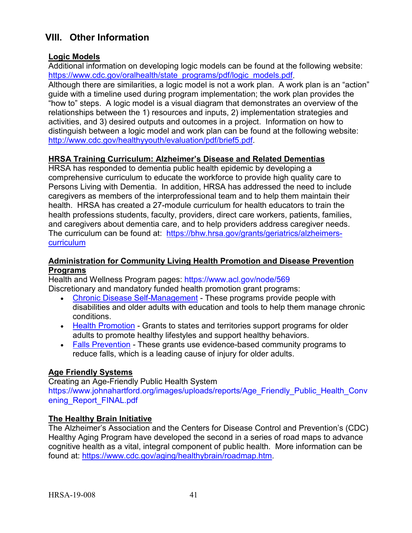# <span id="page-45-0"></span>**VIII. Other Information**

# **Logic Models**

Additional information on developing logic models can be found at the following website: [https://www.cdc.gov/oralhealth/state\\_programs/pdf/logic\\_models.pdf.](https://www.cdc.gov/oralhealth/state_programs/pdf/logic_models.pdf) Although there are similarities, a logic model is not a work plan. A work plan is an "action" guide with a timeline used during program implementation; the work plan provides the "how to" steps. A logic model is a visual diagram that demonstrates an overview of the relationships between the 1) resources and inputs, 2) implementation strategies and activities, and 3) desired outputs and outcomes in a project. Information on how to distinguish between a logic model and work plan can be found at the following website: [http://www.cdc.gov/healthyyouth/evaluation/pdf/brief5.pdf.](http://www.cdc.gov/healthyyouth/evaluation/pdf/brief5.pdf)

## **HRSA Training Curriculum: Alzheimer's Disease and Related Dementias**

HRSA has responded to dementia public health epidemic by developing a comprehensive curriculum to educate the workforce to provide high quality care to Persons Living with Dementia. In addition, HRSA has addressed the need to include caregivers as members of the interprofessional team and to help them maintain their health. HRSA has created a 27-module curriculum for health educators to train the health professions students, faculty, providers, direct care workers, patients, families, and caregivers about dementia care, and to help providers address caregiver needs. The curriculum can be found at: [https://bhw.hrsa.gov/grants/geriatrics/alzheimers](https://bhw.hrsa.gov/grants/geriatrics/alzheimers-curriculum)[curriculum](https://bhw.hrsa.gov/grants/geriatrics/alzheimers-curriculum)

#### **Administration for Community Living Health Promotion and Disease Prevention Programs**

Health and Wellness Program pages:<https://www.acl.gov/node/569> Discretionary and mandatory funded health promotion grant programs:

- [Chronic Disease Self-Management](https://www.acl.gov/node/427) These programs provide people with disabilities and older adults with education and tools to help them manage chronic conditions.
- [Health Promotion](https://www.acl.gov/node/507) Grants to states and territories support programs for older adults to promote healthy lifestyles and support healthy behaviors.
- [Falls Prevention](https://www.acl.gov/node/506) These grants use evidence-based community programs to reduce falls, which is a leading cause of injury for older adults.

# **Age Friendly Systems**

Creating an Age-Friendly Public Health System [https://www.johnahartford.org/images/uploads/reports/Age\\_Friendly\\_Public\\_Health\\_Conv](https://www.johnahartford.org/images/uploads/reports/Age_Friendly_Public_Health_Convening_Report_FINAL.pdf) [ening\\_Report\\_FINAL.pdf](https://www.johnahartford.org/images/uploads/reports/Age_Friendly_Public_Health_Convening_Report_FINAL.pdf)

# **The Healthy Brain Initiative**

The Alzheimer's Association and the Centers for Disease Control and Prevention's (CDC) Healthy Aging Program have developed the second in a series of road maps to advance cognitive health as a vital, integral component of public health. More information can be found at: [https://www.cdc.gov/aging/healthybrain/roadmap.htm.](https://www.cdc.gov/aging/healthybrain/roadmap.htm)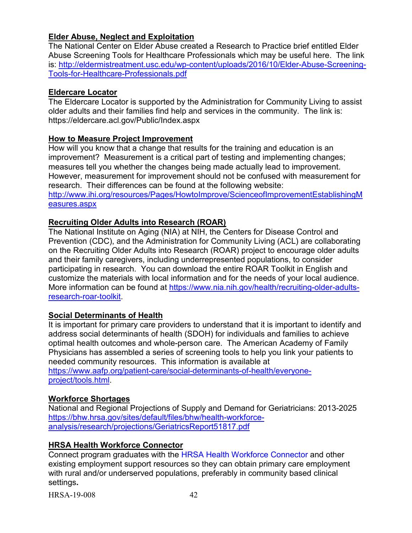# **Elder Abuse, Neglect and Exploitation**

The National Center on Elder Abuse created a Research to Practice brief entitled Elder Abuse Screening Tools for Healthcare Professionals which may be useful here. The link is: [http://eldermistreatment.usc.edu/wp-content/uploads/2016/10/Elder-Abuse-Screening-](http://eldermistreatment.usc.edu/wp-content/uploads/2016/10/Elder-Abuse-Screening-Tools-for-Healthcare-Professionals.pdf)[Tools-for-Healthcare-Professionals.pdf](http://eldermistreatment.usc.edu/wp-content/uploads/2016/10/Elder-Abuse-Screening-Tools-for-Healthcare-Professionals.pdf)

#### **Eldercare Locator**

The Eldercare Locator is supported by the Administration for Community Living to assist older adults and their families find help and services in the community. The link is: https://eldercare.acl.gov/Public/Index.aspx

## **How to Measure Project Improvement**

How will you know that a change that results for the training and education is an improvement? Measurement is a critical part of testing and implementing changes; measures tell you whether the changes being made actually lead to improvement. However, measurement for improvement should not be confused with measurement for research. Their differences can be found at the following website: [http://www.ihi.org/resources/Pages/HowtoImprove/ScienceofImprovementEstablishingM](http://www.ihi.org/resources/Pages/HowtoImprove/ScienceofImprovementEstablishingMeasures.aspx) [easures.aspx](http://www.ihi.org/resources/Pages/HowtoImprove/ScienceofImprovementEstablishingMeasures.aspx)

# **Recruiting Older Adults into Research (ROAR)**

The National Institute on Aging (NIA) at NIH, the Centers for Disease Control and Prevention (CDC), and the Administration for Community Living (ACL) are collaborating on the Recruiting Older Adults into Research (ROAR) project to encourage older adults and their family caregivers, including underrepresented populations, to consider participating in research. You can download the entire ROAR Toolkit in English and customize the materials with local information and for the needs of your local audience. More information can be found at [https://www.nia.nih.gov/health/recruiting-older-adults](https://www.nia.nih.gov/health/recruiting-older-adults-research-roar-toolkit)[research-roar-toolkit.](https://www.nia.nih.gov/health/recruiting-older-adults-research-roar-toolkit)

# **Social Determinants of Health**

It is important for primary care providers to understand that it is important to identify and address social determinants of health (SDOH) for individuals and families to achieve optimal health outcomes and whole-person care. The American Academy of Family Physicians has assembled a series of screening tools to help you link your patients to needed community resources. This information is available at [https://www.aafp.org/patient-care/social-determinants-of-health/everyone](https://www.aafp.org/patient-care/social-determinants-of-health/everyone-project/tools.html)[project/tools.html.](https://www.aafp.org/patient-care/social-determinants-of-health/everyone-project/tools.html)

# **Workforce Shortages**

National and Regional Projections of Supply and Demand for Geriatricians: 2013-2025 [https://bhw.hrsa.gov/sites/default/files/bhw/health-workforce](https://bhw.hrsa.gov/sites/default/files/bhw/health-workforce-analysis/research/projections/GeriatricsReport51817.pdf)[analysis/research/projections/GeriatricsReport51817.pdf](https://bhw.hrsa.gov/sites/default/files/bhw/health-workforce-analysis/research/projections/GeriatricsReport51817.pdf)

# **HRSA Health Workforce Connector**

Connect program graduates with the [HRSA Health Workforce Connector](https://connector.hrsa.gov/connector/) and other existing employment support resources so they can obtain primary care employment with rural and/or underserved populations, preferably in community based clinical settings**.** 

HRSA-19-008 42